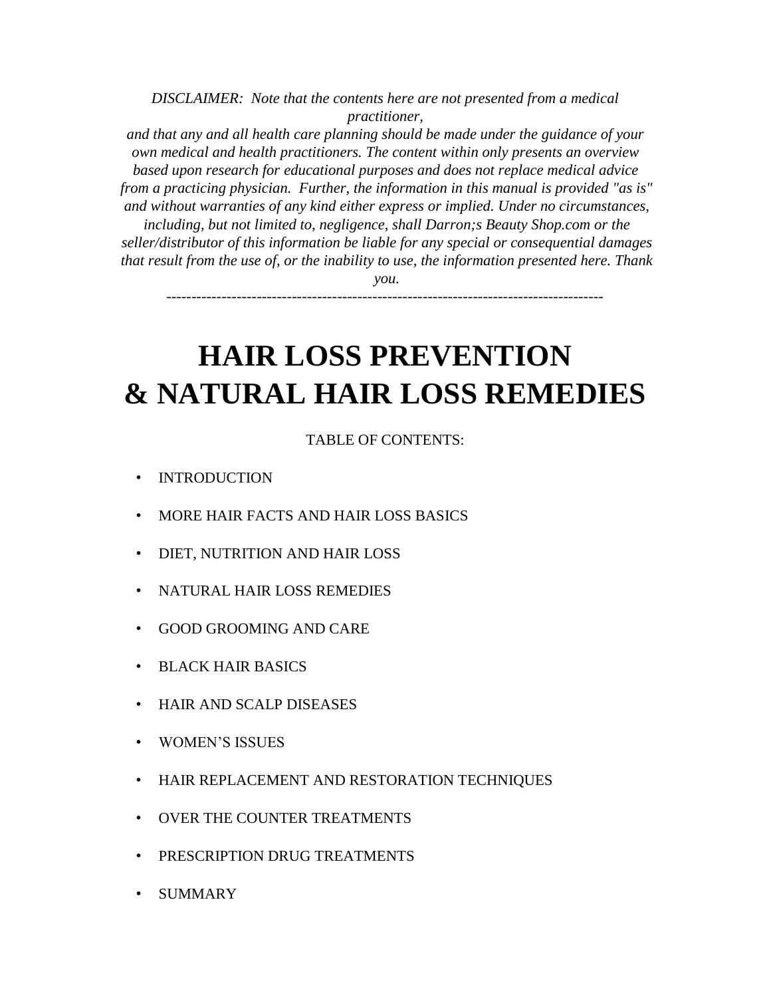*DISCLAIMER: Note that the contents here are not presented from a medical practitioner,* 

*and that any and all health care planning should be made under the guidance of your own medical and health practitioners. The content within only presents an overview based upon research for educational purposes and does not replace medical advice from a practicing physician. Further, the information in this manual is provided "as is" and without warranties of any kind either express or implied. Under no circumstances,* 

*including, but not limited to, negligence, shall Darron;s Beauty Shop.com or the seller/distributor of this information be liable for any special or consequential damages that result from the use of, or the inability to use, the information presented here. Thank* 

*you.* 

*---------------------------------------------------------------------------------------*

# **HAIR LOSS PREVENTION & NATURAL HAIR LOSS REMEDIES**

## TABLE OF CONTENTS:

- **INTRODUCTION**
- MORE HAIR FACTS AND HAIR LOSS BASICS
- DIET, NUTRITION AND HAIR LOSS
- NATURAL HAIR LOSS REMEDIES
- GOOD GROOMING AND CARE
- BLACK HAIR BASICS
- HAIR AND SCALP DISEASES
- WOMEN'S ISSUES
- HAIR REPLACEMENT AND RESTORATION TECHNIQUES
- OVER THE COUNTER TREATMENTS
- PRESCRIPTION DRUG TREATMENTS
- SUMMARY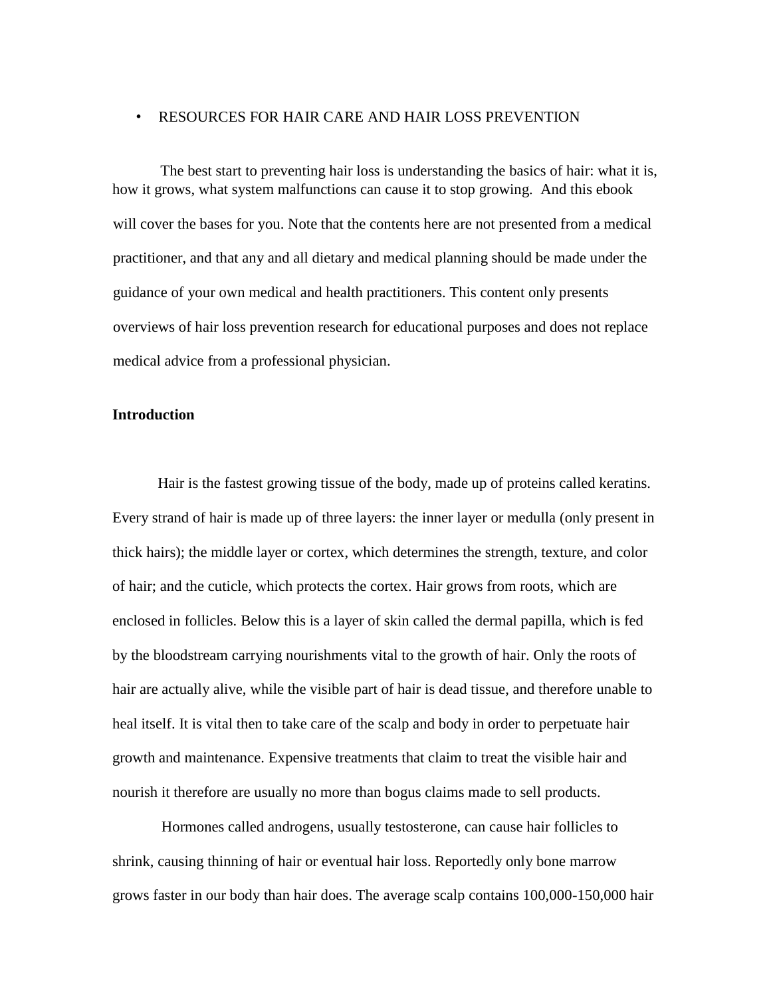## • RESOURCES FOR HAIR CARE AND HAIR LOSS PREVENTION

The best start to preventing hair loss is understanding the basics of hair: what it is, how it grows, what system malfunctions can cause it to stop growing. And this ebook will cover the bases for you. Note that the contents here are not presented from a medical practitioner, and that any and all dietary and medical planning should be made under the guidance of your own medical and health practitioners. This content only presents overviews of hair loss prevention research for educational purposes and does not replace medical advice from a professional physician.

## **Introduction**

Hair is the fastest growing tissue of the body, made up of proteins called keratins. Every strand of hair is made up of three layers: the inner layer or medulla (only present in thick hairs); the middle layer or cortex, which determines the strength, texture, and color of hair; and the cuticle, which protects the cortex. Hair grows from roots, which are enclosed in follicles. Below this is a layer of skin called the dermal papilla, which is fed by the bloodstream carrying nourishments vital to the growth of hair. Only the roots of hair are actually alive, while the visible part of hair is dead tissue, and therefore unable to heal itself. It is vital then to take care of the scalp and body in order to perpetuate hair growth and maintenance. Expensive treatments that claim to treat the visible hair and nourish it therefore are usually no more than bogus claims made to sell products.

Hormones called androgens, usually testosterone, can cause hair follicles to shrink, causing thinning of hair or eventual hair loss. Reportedly only bone marrow grows faster in our body than hair does. The average scalp contains 100,000-150,000 hair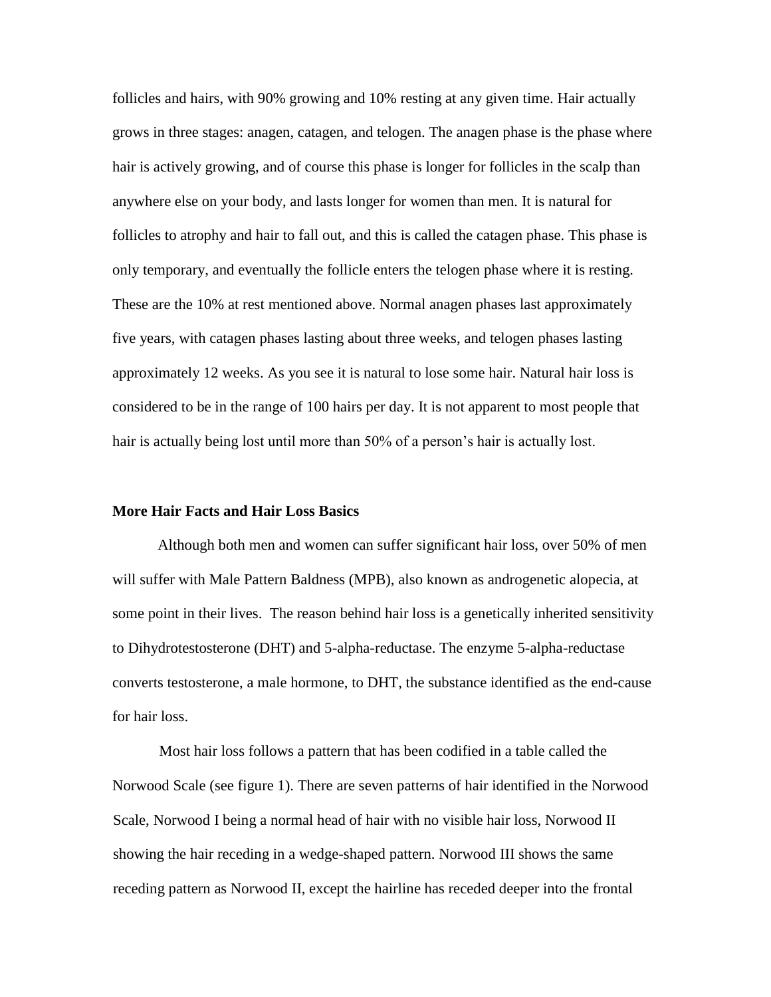follicles and hairs, with 90% growing and 10% resting at any given time. Hair actually grows in three stages: anagen, catagen, and telogen. The anagen phase is the phase where hair is actively growing, and of course this phase is longer for follicles in the scalp than anywhere else on your body, and lasts longer for women than men. It is natural for follicles to atrophy and hair to fall out, and this is called the catagen phase. This phase is only temporary, and eventually the follicle enters the telogen phase where it is resting. These are the 10% at rest mentioned above. Normal anagen phases last approximately five years, with catagen phases lasting about three weeks, and telogen phases lasting approximately 12 weeks. As you see it is natural to lose some hair. Natural hair loss is considered to be in the range of 100 hairs per day. It is not apparent to most people that hair is actually being lost until more than 50% of a person's hair is actually lost.

#### **More Hair Facts and Hair Loss Basics**

Although both men and women can suffer significant hair loss, over 50% of men will suffer with Male Pattern Baldness (MPB), also known as androgenetic alopecia, at some point in their lives. The reason behind hair loss is a genetically inherited sensitivity to Dihydrotestosterone (DHT) and 5-alpha-reductase. The enzyme 5-alpha-reductase converts testosterone, a male hormone, to DHT, the substance identified as the end-cause for hair loss.

Most hair loss follows a pattern that has been codified in a table called the Norwood Scale (see figure 1). There are seven patterns of hair identified in the Norwood Scale, Norwood I being a normal head of hair with no visible hair loss, Norwood II showing the hair receding in a wedge-shaped pattern. Norwood III shows the same receding pattern as Norwood II, except the hairline has receded deeper into the frontal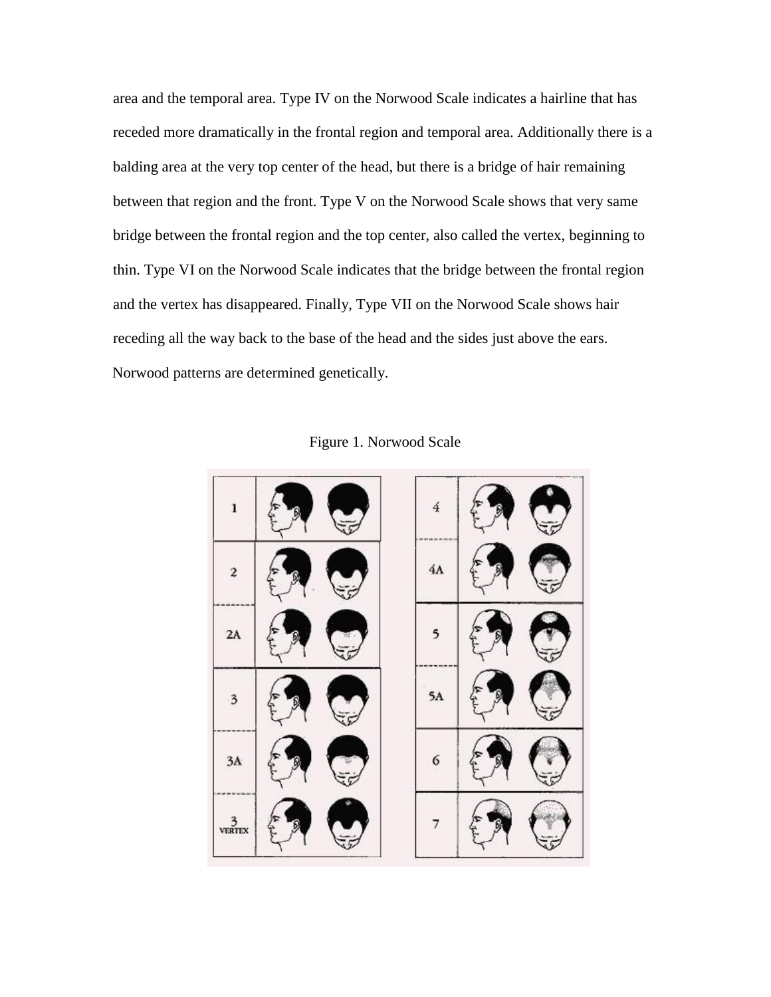area and the temporal area. Type IV on the Norwood Scale indicates a hairline that has receded more dramatically in the frontal region and temporal area. Additionally there is a balding area at the very top center of the head, but there is a bridge of hair remaining between that region and the front. Type V on the Norwood Scale shows that very same bridge between the frontal region and the top center, also called the vertex, beginning to thin. Type VI on the Norwood Scale indicates that the bridge between the frontal region and the vertex has disappeared. Finally, Type VII on the Norwood Scale shows hair receding all the way back to the base of the head and the sides just above the ears. Norwood patterns are determined genetically.

| 1      | 4  |  |
|--------|----|--|
| 2      | 4Α |  |
| 2A     | 5  |  |
|        | 5A |  |
| 3A     | 6  |  |
| VERTEX |    |  |

Figure 1. Norwood Scale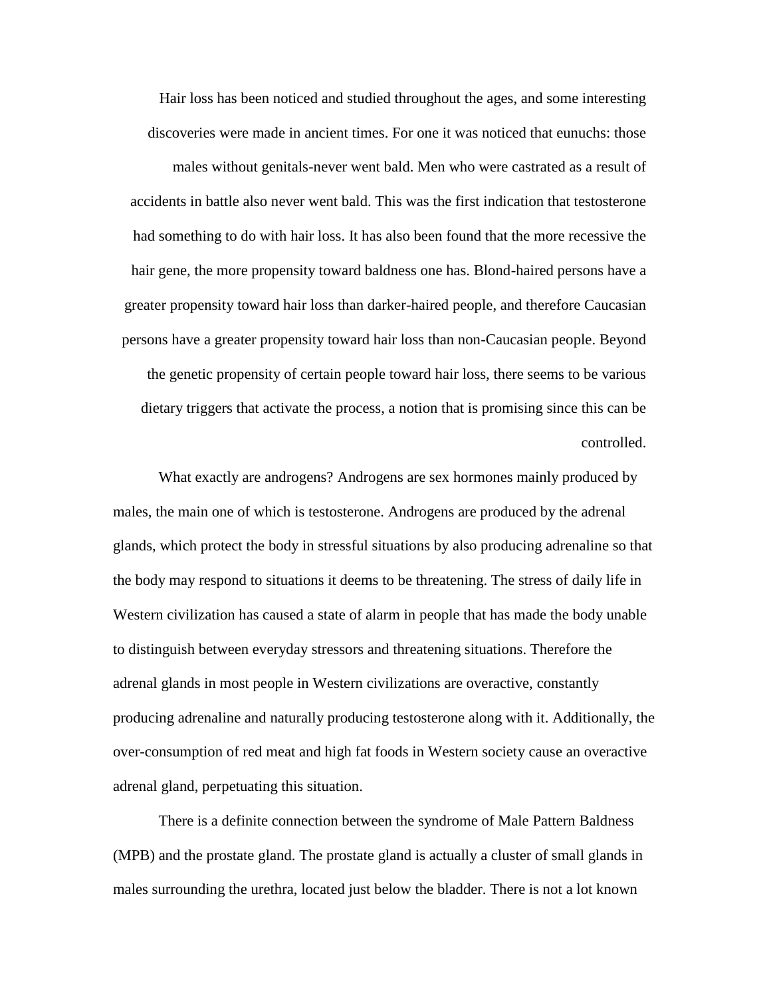Hair loss has been noticed and studied throughout the ages, and some interesting discoveries were made in ancient times. For one it was noticed that eunuchs: those males without genitals-never went bald. Men who were castrated as a result of accidents in battle also never went bald. This was the first indication that testosterone had something to do with hair loss. It has also been found that the more recessive the hair gene, the more propensity toward baldness one has. Blond-haired persons have a greater propensity toward hair loss than darker-haired people, and therefore Caucasian persons have a greater propensity toward hair loss than non-Caucasian people. Beyond the genetic propensity of certain people toward hair loss, there seems to be various dietary triggers that activate the process, a notion that is promising since this can be controlled.

What exactly are androgens? Androgens are sex hormones mainly produced by males, the main one of which is testosterone. Androgens are produced by the adrenal glands, which protect the body in stressful situations by also producing adrenaline so that the body may respond to situations it deems to be threatening. The stress of daily life in Western civilization has caused a state of alarm in people that has made the body unable to distinguish between everyday stressors and threatening situations. Therefore the adrenal glands in most people in Western civilizations are overactive, constantly producing adrenaline and naturally producing testosterone along with it. Additionally, the over-consumption of red meat and high fat foods in Western society cause an overactive adrenal gland, perpetuating this situation.

There is a definite connection between the syndrome of Male Pattern Baldness (MPB) and the prostate gland. The prostate gland is actually a cluster of small glands in males surrounding the urethra, located just below the bladder. There is not a lot known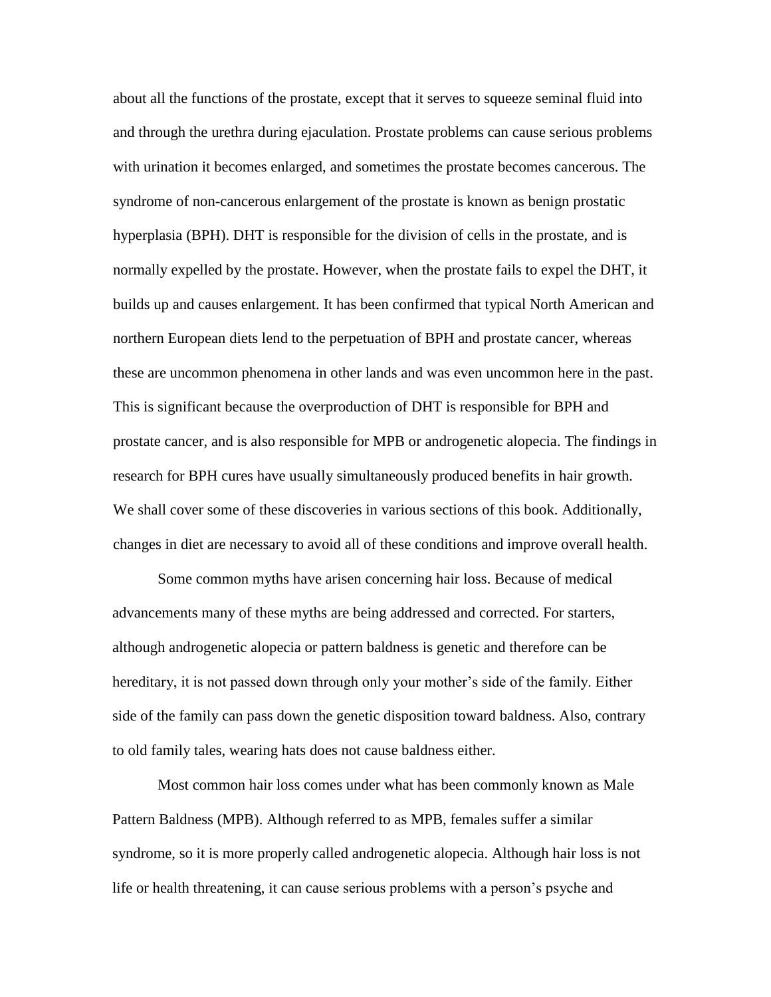about all the functions of the prostate, except that it serves to squeeze seminal fluid into and through the urethra during ejaculation. Prostate problems can cause serious problems with urination it becomes enlarged, and sometimes the prostate becomes cancerous. The syndrome of non-cancerous enlargement of the prostate is known as benign prostatic hyperplasia (BPH). DHT is responsible for the division of cells in the prostate, and is normally expelled by the prostate. However, when the prostate fails to expel the DHT, it builds up and causes enlargement. It has been confirmed that typical North American and northern European diets lend to the perpetuation of BPH and prostate cancer, whereas these are uncommon phenomena in other lands and was even uncommon here in the past. This is significant because the overproduction of DHT is responsible for BPH and prostate cancer, and is also responsible for MPB or androgenetic alopecia. The findings in research for BPH cures have usually simultaneously produced benefits in hair growth. We shall cover some of these discoveries in various sections of this book. Additionally, changes in diet are necessary to avoid all of these conditions and improve overall health.

Some common myths have arisen concerning hair loss. Because of medical advancements many of these myths are being addressed and corrected. For starters, although androgenetic alopecia or pattern baldness is genetic and therefore can be hereditary, it is not passed down through only your mother's side of the family. Either side of the family can pass down the genetic disposition toward baldness. Also, contrary to old family tales, wearing hats does not cause baldness either.

Most common hair loss comes under what has been commonly known as Male Pattern Baldness (MPB). Although referred to as MPB, females suffer a similar syndrome, so it is more properly called androgenetic alopecia. Although hair loss is not life or health threatening, it can cause serious problems with a person's psyche and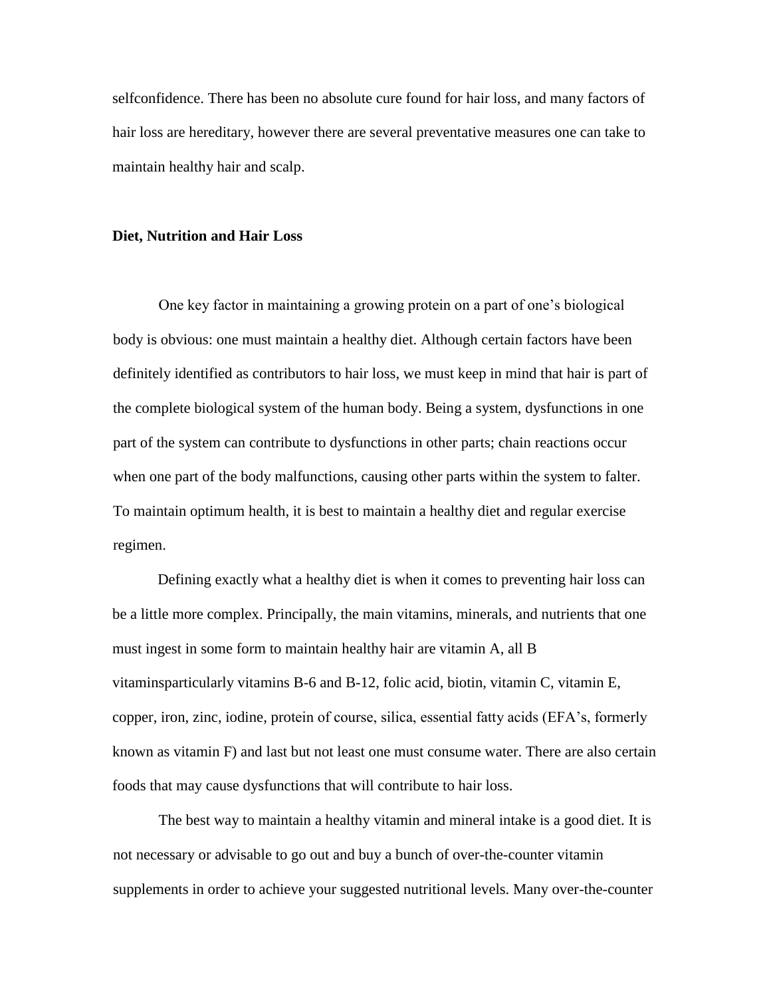selfconfidence. There has been no absolute cure found for hair loss, and many factors of hair loss are hereditary, however there are several preventative measures one can take to maintain healthy hair and scalp.

#### **Diet, Nutrition and Hair Loss**

One key factor in maintaining a growing protein on a part of one's biological body is obvious: one must maintain a healthy diet. Although certain factors have been definitely identified as contributors to hair loss, we must keep in mind that hair is part of the complete biological system of the human body. Being a system, dysfunctions in one part of the system can contribute to dysfunctions in other parts; chain reactions occur when one part of the body malfunctions, causing other parts within the system to falter. To maintain optimum health, it is best to maintain a healthy diet and regular exercise regimen.

Defining exactly what a healthy diet is when it comes to preventing hair loss can be a little more complex. Principally, the main vitamins, minerals, and nutrients that one must ingest in some form to maintain healthy hair are vitamin A, all B vitaminsparticularly vitamins B-6 and B-12, folic acid, biotin, vitamin C, vitamin E, copper, iron, zinc, iodine, protein of course, silica, essential fatty acids (EFA's, formerly known as vitamin F) and last but not least one must consume water. There are also certain foods that may cause dysfunctions that will contribute to hair loss.

The best way to maintain a healthy vitamin and mineral intake is a good diet. It is not necessary or advisable to go out and buy a bunch of over-the-counter vitamin supplements in order to achieve your suggested nutritional levels. Many over-the-counter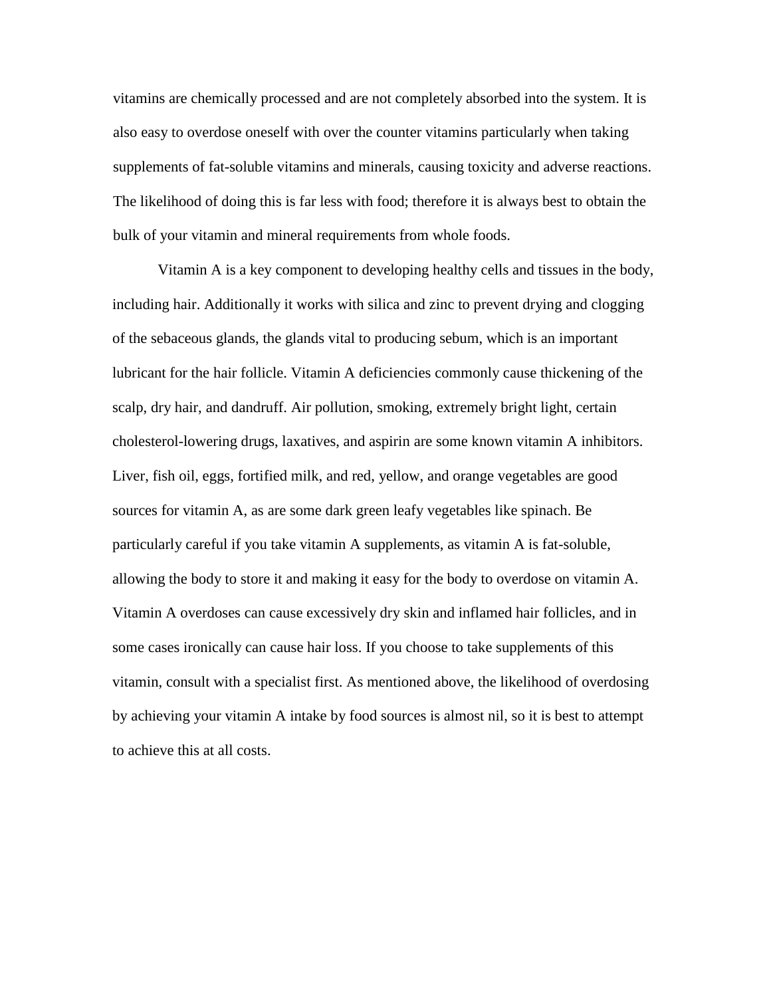vitamins are chemically processed and are not completely absorbed into the system. It is also easy to overdose oneself with over the counter vitamins particularly when taking supplements of fat-soluble vitamins and minerals, causing toxicity and adverse reactions. The likelihood of doing this is far less with food; therefore it is always best to obtain the bulk of your vitamin and mineral requirements from whole foods.

Vitamin A is a key component to developing healthy cells and tissues in the body, including hair. Additionally it works with silica and zinc to prevent drying and clogging of the sebaceous glands, the glands vital to producing sebum, which is an important lubricant for the hair follicle. Vitamin A deficiencies commonly cause thickening of the scalp, dry hair, and dandruff. Air pollution, smoking, extremely bright light, certain cholesterol-lowering drugs, laxatives, and aspirin are some known vitamin A inhibitors. Liver, fish oil, eggs, fortified milk, and red, yellow, and orange vegetables are good sources for vitamin A, as are some dark green leafy vegetables like spinach. Be particularly careful if you take vitamin A supplements, as vitamin A is fat-soluble, allowing the body to store it and making it easy for the body to overdose on vitamin A. Vitamin A overdoses can cause excessively dry skin and inflamed hair follicles, and in some cases ironically can cause hair loss. If you choose to take supplements of this vitamin, consult with a specialist first. As mentioned above, the likelihood of overdosing by achieving your vitamin A intake by food sources is almost nil, so it is best to attempt to achieve this at all costs.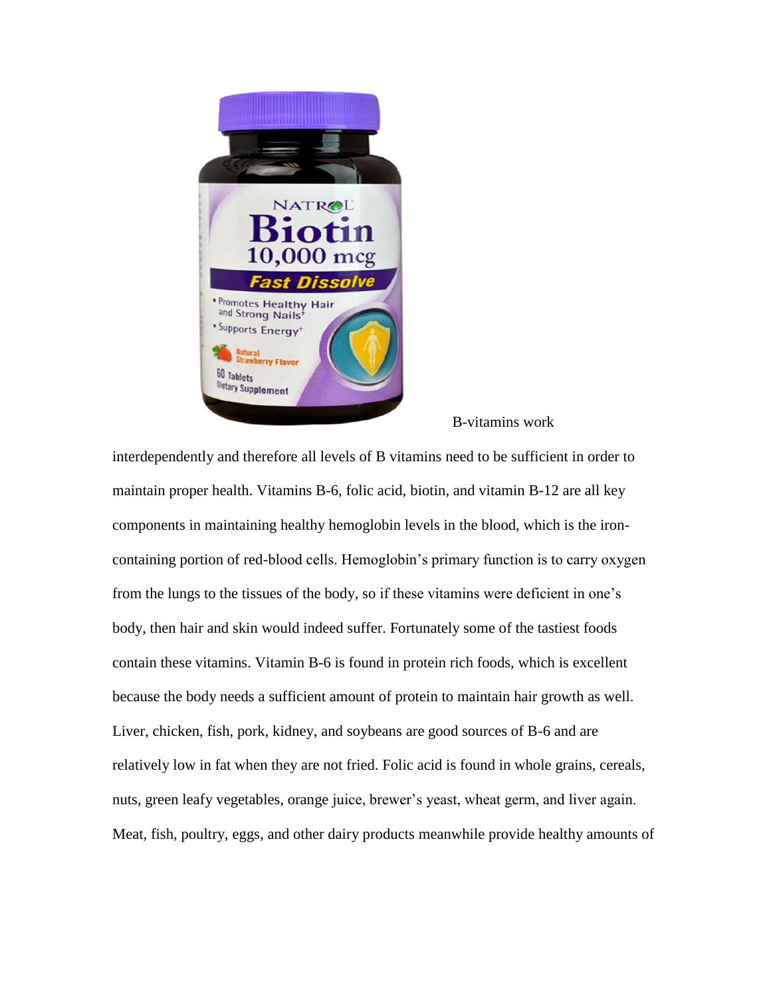

B-vitamins work

interdependently and therefore all levels of B vitamins need to be sufficient in order to maintain proper health. Vitamins B-6, folic acid, biotin, and vitamin B-12 are all key components in maintaining healthy hemoglobin levels in the blood, which is the ironcontaining portion of red-blood cells. Hemoglobin's primary function is to carry oxygen from the lungs to the tissues of the body, so if these vitamins were deficient in one's body, then hair and skin would indeed suffer. Fortunately some of the tastiest foods contain these vitamins. Vitamin B-6 is found in protein rich foods, which is excellent because the body needs a sufficient amount of protein to maintain hair growth as well. Liver, chicken, fish, pork, kidney, and soybeans are good sources of B-6 and are relatively low in fat when they are not fried. Folic acid is found in whole grains, cereals, nuts, green leafy vegetables, orange juice, brewer's yeast, wheat germ, and liver again. Meat, fish, poultry, eggs, and other dairy products meanwhile provide healthy amounts of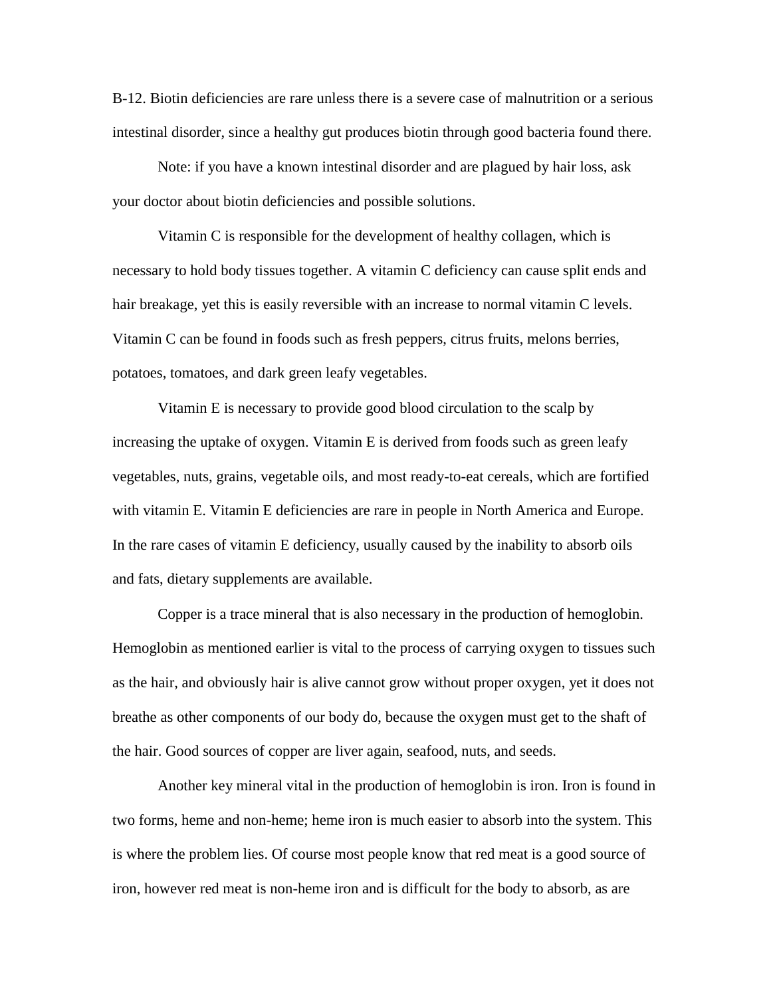B-12. Biotin deficiencies are rare unless there is a severe case of malnutrition or a serious intestinal disorder, since a healthy gut produces biotin through good bacteria found there.

Note: if you have a known intestinal disorder and are plagued by hair loss, ask your doctor about biotin deficiencies and possible solutions.

Vitamin C is responsible for the development of healthy collagen, which is necessary to hold body tissues together. A vitamin C deficiency can cause split ends and hair breakage, yet this is easily reversible with an increase to normal vitamin C levels. Vitamin C can be found in foods such as fresh peppers, citrus fruits, melons berries, potatoes, tomatoes, and dark green leafy vegetables.

Vitamin E is necessary to provide good blood circulation to the scalp by increasing the uptake of oxygen. Vitamin E is derived from foods such as green leafy vegetables, nuts, grains, vegetable oils, and most ready-to-eat cereals, which are fortified with vitamin E. Vitamin E deficiencies are rare in people in North America and Europe. In the rare cases of vitamin E deficiency, usually caused by the inability to absorb oils and fats, dietary supplements are available.

Copper is a trace mineral that is also necessary in the production of hemoglobin. Hemoglobin as mentioned earlier is vital to the process of carrying oxygen to tissues such as the hair, and obviously hair is alive cannot grow without proper oxygen, yet it does not breathe as other components of our body do, because the oxygen must get to the shaft of the hair. Good sources of copper are liver again, seafood, nuts, and seeds.

Another key mineral vital in the production of hemoglobin is iron. Iron is found in two forms, heme and non-heme; heme iron is much easier to absorb into the system. This is where the problem lies. Of course most people know that red meat is a good source of iron, however red meat is non-heme iron and is difficult for the body to absorb, as are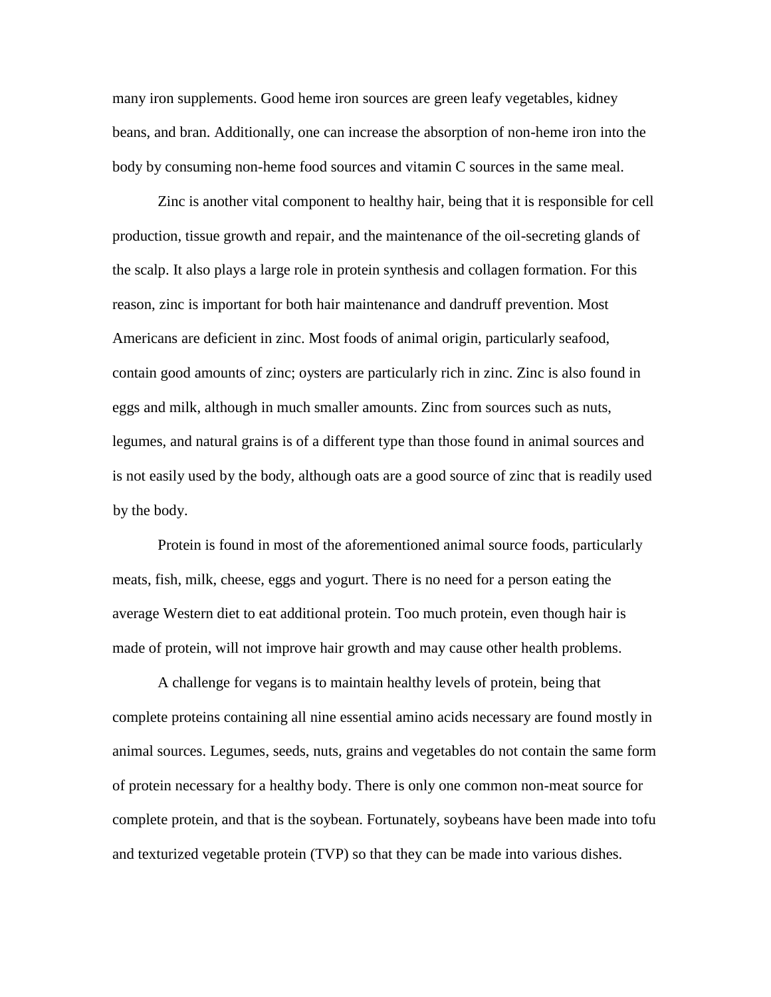many iron supplements. Good heme iron sources are green leafy vegetables, kidney beans, and bran. Additionally, one can increase the absorption of non-heme iron into the body by consuming non-heme food sources and vitamin C sources in the same meal.

Zinc is another vital component to healthy hair, being that it is responsible for cell production, tissue growth and repair, and the maintenance of the oil-secreting glands of the scalp. It also plays a large role in protein synthesis and collagen formation. For this reason, zinc is important for both hair maintenance and dandruff prevention. Most Americans are deficient in zinc. Most foods of animal origin, particularly seafood, contain good amounts of zinc; oysters are particularly rich in zinc. Zinc is also found in eggs and milk, although in much smaller amounts. Zinc from sources such as nuts, legumes, and natural grains is of a different type than those found in animal sources and is not easily used by the body, although oats are a good source of zinc that is readily used by the body.

Protein is found in most of the aforementioned animal source foods, particularly meats, fish, milk, cheese, eggs and yogurt. There is no need for a person eating the average Western diet to eat additional protein. Too much protein, even though hair is made of protein, will not improve hair growth and may cause other health problems.

A challenge for vegans is to maintain healthy levels of protein, being that complete proteins containing all nine essential amino acids necessary are found mostly in animal sources. Legumes, seeds, nuts, grains and vegetables do not contain the same form of protein necessary for a healthy body. There is only one common non-meat source for complete protein, and that is the soybean. Fortunately, soybeans have been made into tofu and texturized vegetable protein (TVP) so that they can be made into various dishes.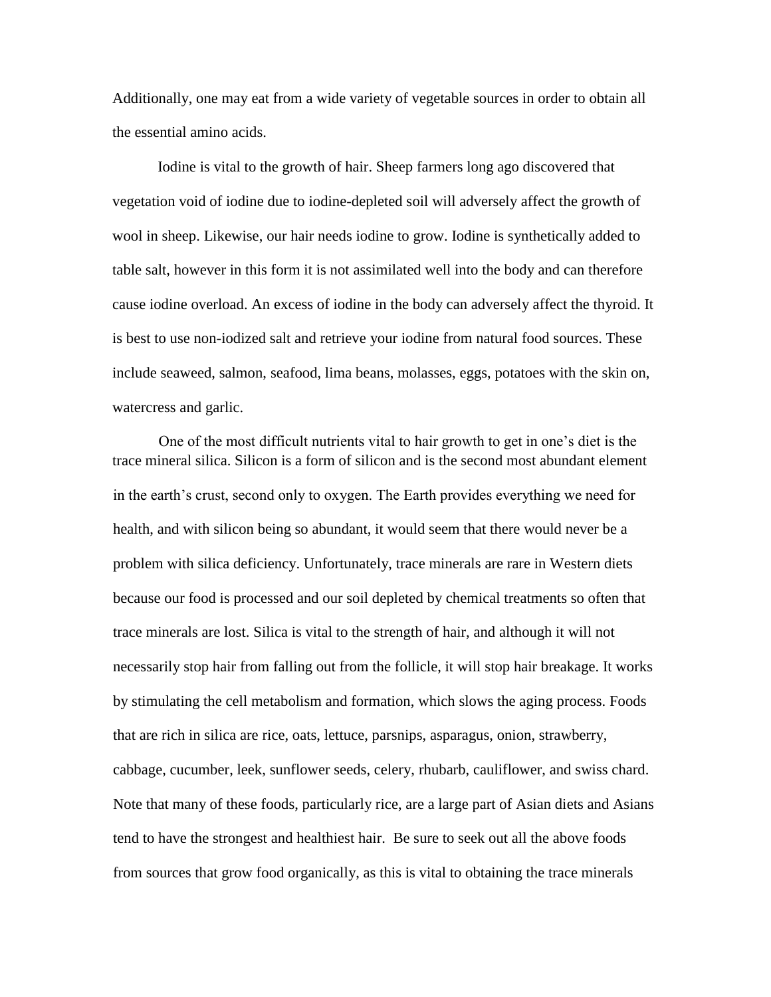Additionally, one may eat from a wide variety of vegetable sources in order to obtain all the essential amino acids.

Iodine is vital to the growth of hair. Sheep farmers long ago discovered that vegetation void of iodine due to iodine-depleted soil will adversely affect the growth of wool in sheep. Likewise, our hair needs iodine to grow. Iodine is synthetically added to table salt, however in this form it is not assimilated well into the body and can therefore cause iodine overload. An excess of iodine in the body can adversely affect the thyroid. It is best to use non-iodized salt and retrieve your iodine from natural food sources. These include seaweed, salmon, seafood, lima beans, molasses, eggs, potatoes with the skin on, watercress and garlic.

One of the most difficult nutrients vital to hair growth to get in one's diet is the trace mineral silica. Silicon is a form of silicon and is the second most abundant element in the earth's crust, second only to oxygen. The Earth provides everything we need for health, and with silicon being so abundant, it would seem that there would never be a problem with silica deficiency. Unfortunately, trace minerals are rare in Western diets because our food is processed and our soil depleted by chemical treatments so often that trace minerals are lost. Silica is vital to the strength of hair, and although it will not necessarily stop hair from falling out from the follicle, it will stop hair breakage. It works by stimulating the cell metabolism and formation, which slows the aging process. Foods that are rich in silica are rice, oats, lettuce, parsnips, asparagus, onion, strawberry, cabbage, cucumber, leek, sunflower seeds, celery, rhubarb, cauliflower, and swiss chard. Note that many of these foods, particularly rice, are a large part of Asian diets and Asians tend to have the strongest and healthiest hair. Be sure to seek out all the above foods from sources that grow food organically, as this is vital to obtaining the trace minerals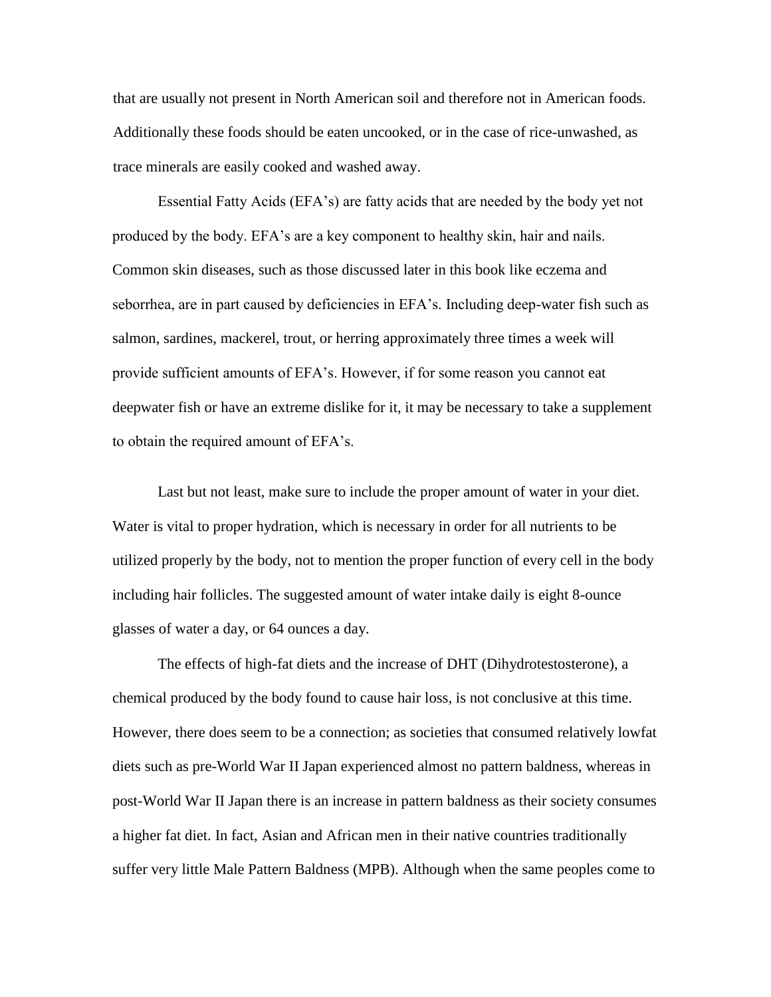that are usually not present in North American soil and therefore not in American foods. Additionally these foods should be eaten uncooked, or in the case of rice-unwashed, as trace minerals are easily cooked and washed away.

Essential Fatty Acids (EFA's) are fatty acids that are needed by the body yet not produced by the body. EFA's are a key component to healthy skin, hair and nails. Common skin diseases, such as those discussed later in this book like eczema and seborrhea, are in part caused by deficiencies in EFA's. Including deep-water fish such as salmon, sardines, mackerel, trout, or herring approximately three times a week will provide sufficient amounts of EFA's. However, if for some reason you cannot eat deepwater fish or have an extreme dislike for it, it may be necessary to take a supplement to obtain the required amount of EFA's.

Last but not least, make sure to include the proper amount of water in your diet. Water is vital to proper hydration, which is necessary in order for all nutrients to be utilized properly by the body, not to mention the proper function of every cell in the body including hair follicles. The suggested amount of water intake daily is eight 8-ounce glasses of water a day, or 64 ounces a day.

The effects of high-fat diets and the increase of DHT (Dihydrotestosterone), a chemical produced by the body found to cause hair loss, is not conclusive at this time. However, there does seem to be a connection; as societies that consumed relatively lowfat diets such as pre-World War II Japan experienced almost no pattern baldness, whereas in post-World War II Japan there is an increase in pattern baldness as their society consumes a higher fat diet. In fact, Asian and African men in their native countries traditionally suffer very little Male Pattern Baldness (MPB). Although when the same peoples come to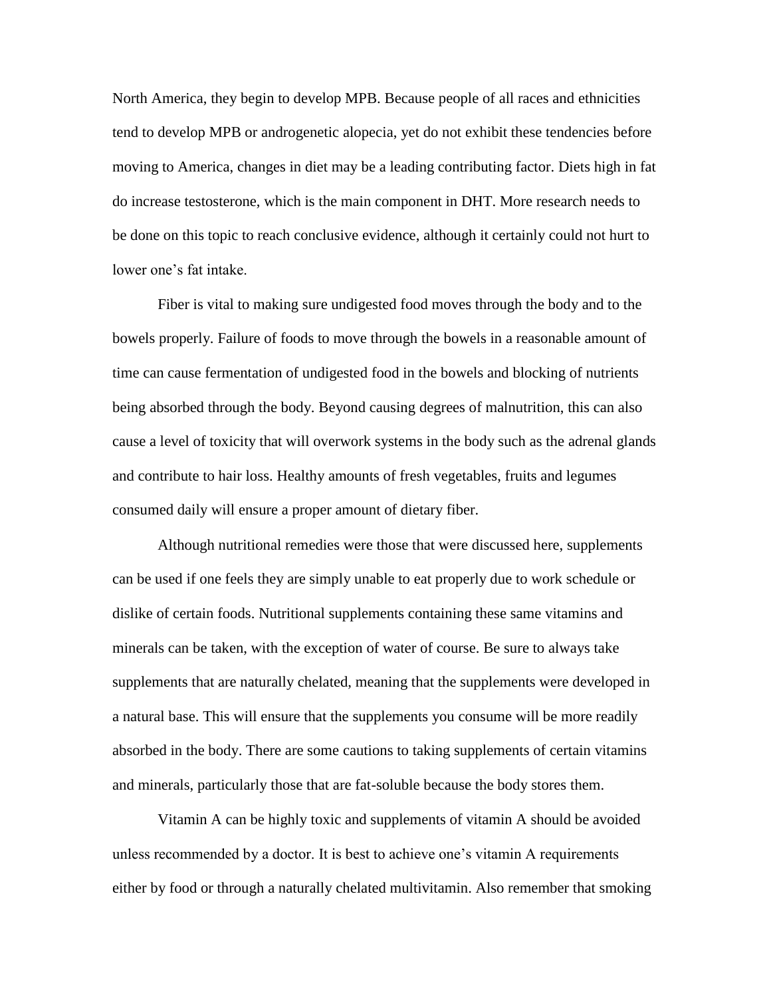North America, they begin to develop MPB. Because people of all races and ethnicities tend to develop MPB or androgenetic alopecia, yet do not exhibit these tendencies before moving to America, changes in diet may be a leading contributing factor. Diets high in fat do increase testosterone, which is the main component in DHT. More research needs to be done on this topic to reach conclusive evidence, although it certainly could not hurt to lower one's fat intake.

Fiber is vital to making sure undigested food moves through the body and to the bowels properly. Failure of foods to move through the bowels in a reasonable amount of time can cause fermentation of undigested food in the bowels and blocking of nutrients being absorbed through the body. Beyond causing degrees of malnutrition, this can also cause a level of toxicity that will overwork systems in the body such as the adrenal glands and contribute to hair loss. Healthy amounts of fresh vegetables, fruits and legumes consumed daily will ensure a proper amount of dietary fiber.

Although nutritional remedies were those that were discussed here, supplements can be used if one feels they are simply unable to eat properly due to work schedule or dislike of certain foods. Nutritional supplements containing these same vitamins and minerals can be taken, with the exception of water of course. Be sure to always take supplements that are naturally chelated, meaning that the supplements were developed in a natural base. This will ensure that the supplements you consume will be more readily absorbed in the body. There are some cautions to taking supplements of certain vitamins and minerals, particularly those that are fat-soluble because the body stores them.

Vitamin A can be highly toxic and supplements of vitamin A should be avoided unless recommended by a doctor. It is best to achieve one's vitamin A requirements either by food or through a naturally chelated multivitamin. Also remember that smoking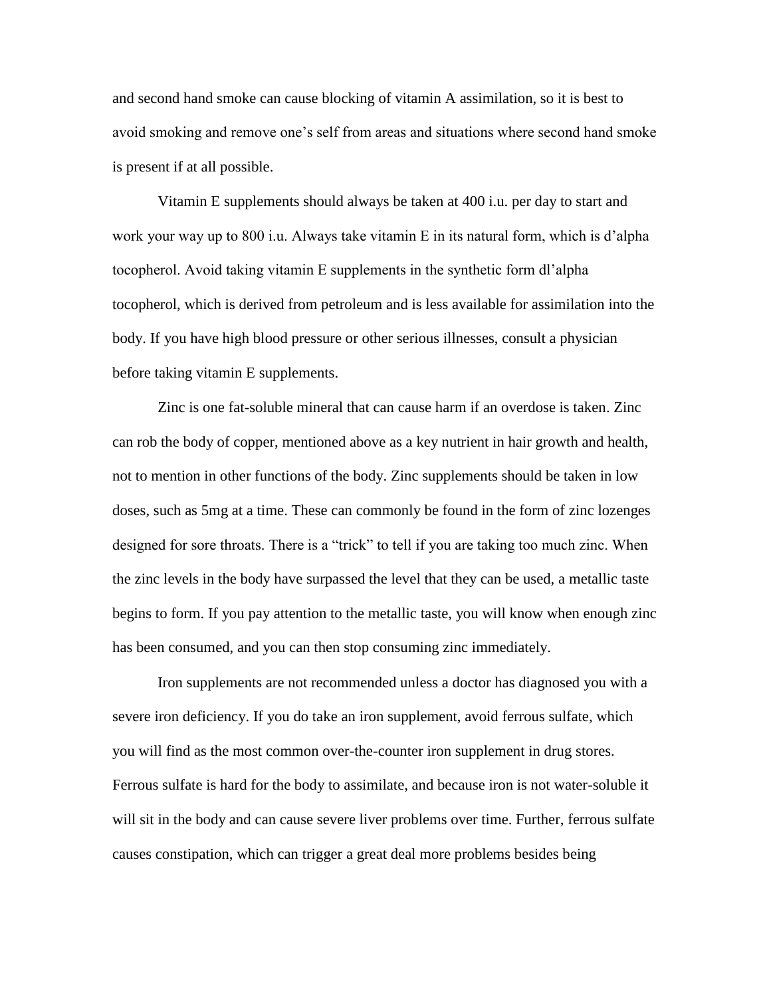and second hand smoke can cause blocking of vitamin A assimilation, so it is best to avoid smoking and remove one's self from areas and situations where second hand smoke is present if at all possible.

Vitamin E supplements should always be taken at 400 i.u. per day to start and work your way up to 800 i.u. Always take vitamin E in its natural form, which is d'alpha tocopherol. Avoid taking vitamin E supplements in the synthetic form dl'alpha tocopherol, which is derived from petroleum and is less available for assimilation into the body. If you have high blood pressure or other serious illnesses, consult a physician before taking vitamin E supplements.

Zinc is one fat-soluble mineral that can cause harm if an overdose is taken. Zinc can rob the body of copper, mentioned above as a key nutrient in hair growth and health, not to mention in other functions of the body. Zinc supplements should be taken in low doses, such as 5mg at a time. These can commonly be found in the form of zinc lozenges designed for sore throats. There is a "trick" to tell if you are taking too much zinc. When the zinc levels in the body have surpassed the level that they can be used, a metallic taste begins to form. If you pay attention to the metallic taste, you will know when enough zinc has been consumed, and you can then stop consuming zinc immediately.

Iron supplements are not recommended unless a doctor has diagnosed you with a severe iron deficiency. If you do take an iron supplement, avoid ferrous sulfate, which you will find as the most common over-the-counter iron supplement in drug stores. Ferrous sulfate is hard for the body to assimilate, and because iron is not water-soluble it will sit in the body and can cause severe liver problems over time. Further, ferrous sulfate causes constipation, which can trigger a great deal more problems besides being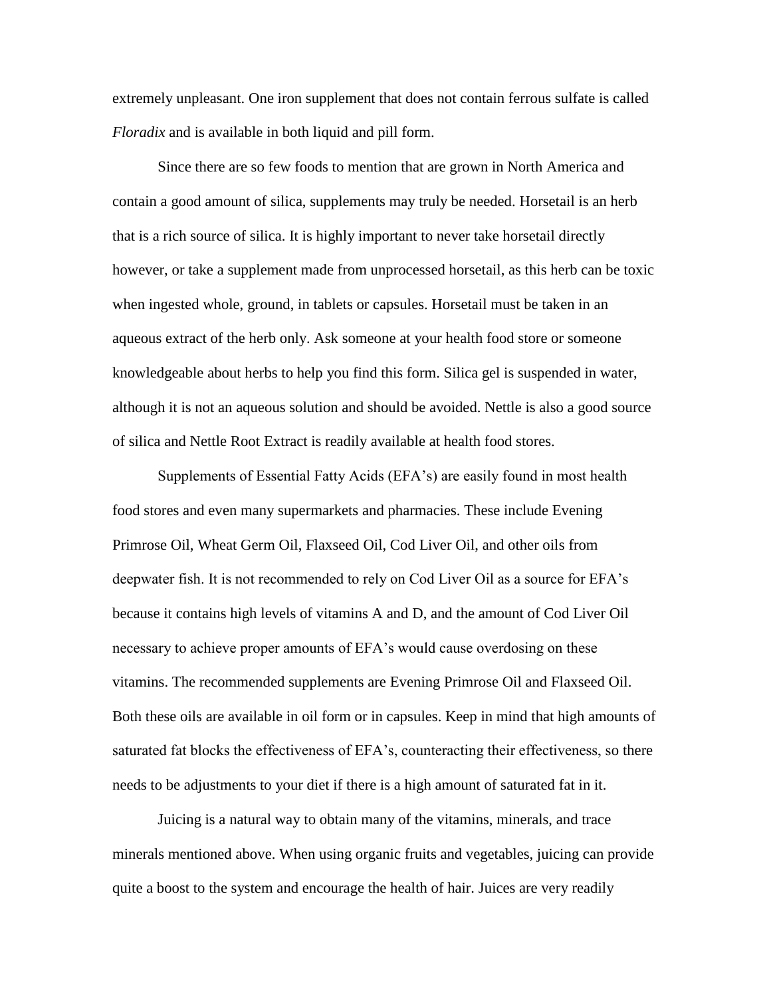extremely unpleasant. One iron supplement that does not contain ferrous sulfate is called *Floradix* and is available in both liquid and pill form.

Since there are so few foods to mention that are grown in North America and contain a good amount of silica, supplements may truly be needed. Horsetail is an herb that is a rich source of silica. It is highly important to never take horsetail directly however, or take a supplement made from unprocessed horsetail, as this herb can be toxic when ingested whole, ground, in tablets or capsules. Horsetail must be taken in an aqueous extract of the herb only. Ask someone at your health food store or someone knowledgeable about herbs to help you find this form. Silica gel is suspended in water, although it is not an aqueous solution and should be avoided. Nettle is also a good source of silica and Nettle Root Extract is readily available at health food stores.

Supplements of Essential Fatty Acids (EFA's) are easily found in most health food stores and even many supermarkets and pharmacies. These include Evening Primrose Oil, Wheat Germ Oil, Flaxseed Oil, Cod Liver Oil, and other oils from deepwater fish. It is not recommended to rely on Cod Liver Oil as a source for EFA's because it contains high levels of vitamins A and D, and the amount of Cod Liver Oil necessary to achieve proper amounts of EFA's would cause overdosing on these vitamins. The recommended supplements are Evening Primrose Oil and Flaxseed Oil. Both these oils are available in oil form or in capsules. Keep in mind that high amounts of saturated fat blocks the effectiveness of EFA's, counteracting their effectiveness, so there needs to be adjustments to your diet if there is a high amount of saturated fat in it.

Juicing is a natural way to obtain many of the vitamins, minerals, and trace minerals mentioned above. When using organic fruits and vegetables, juicing can provide quite a boost to the system and encourage the health of hair. Juices are very readily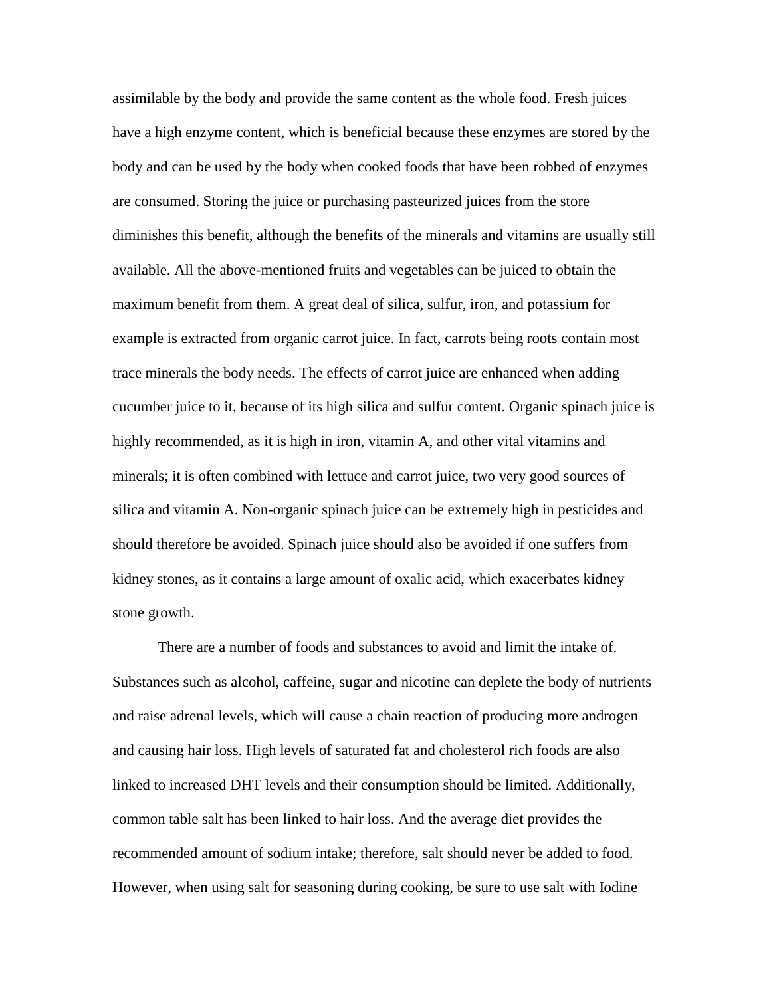assimilable by the body and provide the same content as the whole food. Fresh juices have a high enzyme content, which is beneficial because these enzymes are stored by the body and can be used by the body when cooked foods that have been robbed of enzymes are consumed. Storing the juice or purchasing pasteurized juices from the store diminishes this benefit, although the benefits of the minerals and vitamins are usually still available. All the above-mentioned fruits and vegetables can be juiced to obtain the maximum benefit from them. A great deal of silica, sulfur, iron, and potassium for example is extracted from organic carrot juice. In fact, carrots being roots contain most trace minerals the body needs. The effects of carrot juice are enhanced when adding cucumber juice to it, because of its high silica and sulfur content. Organic spinach juice is highly recommended, as it is high in iron, vitamin A, and other vital vitamins and minerals; it is often combined with lettuce and carrot juice, two very good sources of silica and vitamin A. Non-organic spinach juice can be extremely high in pesticides and should therefore be avoided. Spinach juice should also be avoided if one suffers from kidney stones, as it contains a large amount of oxalic acid, which exacerbates kidney stone growth.

There are a number of foods and substances to avoid and limit the intake of. Substances such as alcohol, caffeine, sugar and nicotine can deplete the body of nutrients and raise adrenal levels, which will cause a chain reaction of producing more androgen and causing hair loss. High levels of saturated fat and cholesterol rich foods are also linked to increased DHT levels and their consumption should be limited. Additionally, common table salt has been linked to hair loss. And the average diet provides the recommended amount of sodium intake; therefore, salt should never be added to food. However, when using salt for seasoning during cooking, be sure to use salt with Iodine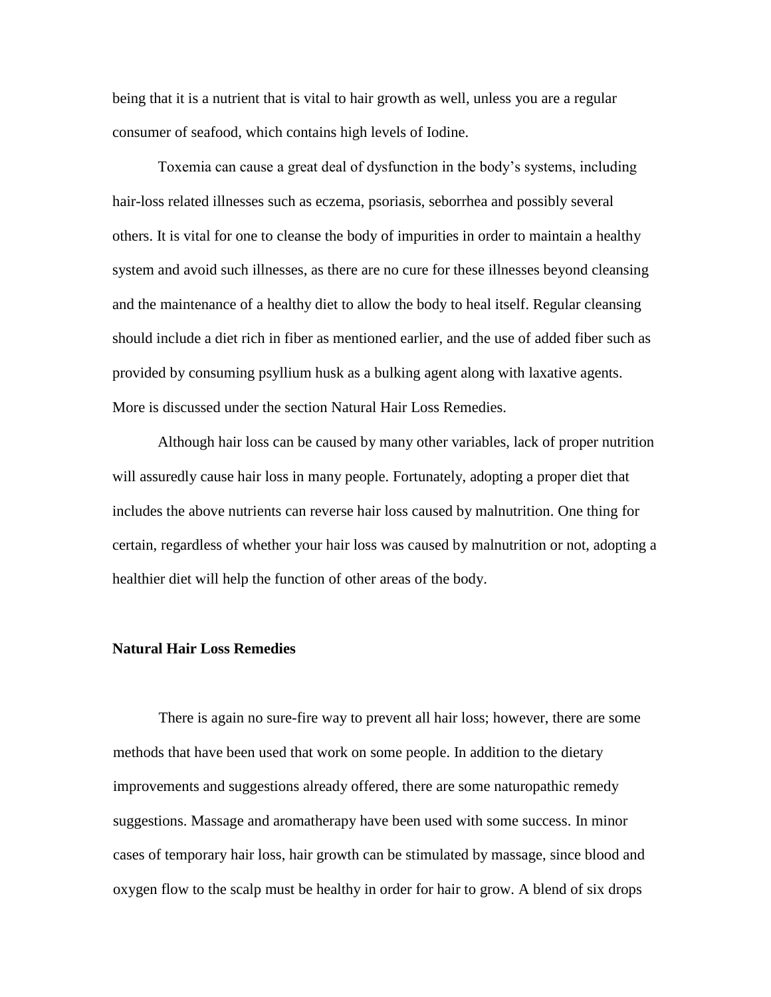being that it is a nutrient that is vital to hair growth as well, unless you are a regular consumer of seafood, which contains high levels of Iodine.

Toxemia can cause a great deal of dysfunction in the body's systems, including hair-loss related illnesses such as eczema, psoriasis, seborrhea and possibly several others. It is vital for one to cleanse the body of impurities in order to maintain a healthy system and avoid such illnesses, as there are no cure for these illnesses beyond cleansing and the maintenance of a healthy diet to allow the body to heal itself. Regular cleansing should include a diet rich in fiber as mentioned earlier, and the use of added fiber such as provided by consuming psyllium husk as a bulking agent along with laxative agents. More is discussed under the section Natural Hair Loss Remedies.

Although hair loss can be caused by many other variables, lack of proper nutrition will assuredly cause hair loss in many people. Fortunately, adopting a proper diet that includes the above nutrients can reverse hair loss caused by malnutrition. One thing for certain, regardless of whether your hair loss was caused by malnutrition or not, adopting a healthier diet will help the function of other areas of the body.

## **Natural Hair Loss Remedies**

There is again no sure-fire way to prevent all hair loss; however, there are some methods that have been used that work on some people. In addition to the dietary improvements and suggestions already offered, there are some naturopathic remedy suggestions. Massage and aromatherapy have been used with some success. In minor cases of temporary hair loss, hair growth can be stimulated by massage, since blood and oxygen flow to the scalp must be healthy in order for hair to grow. A blend of six drops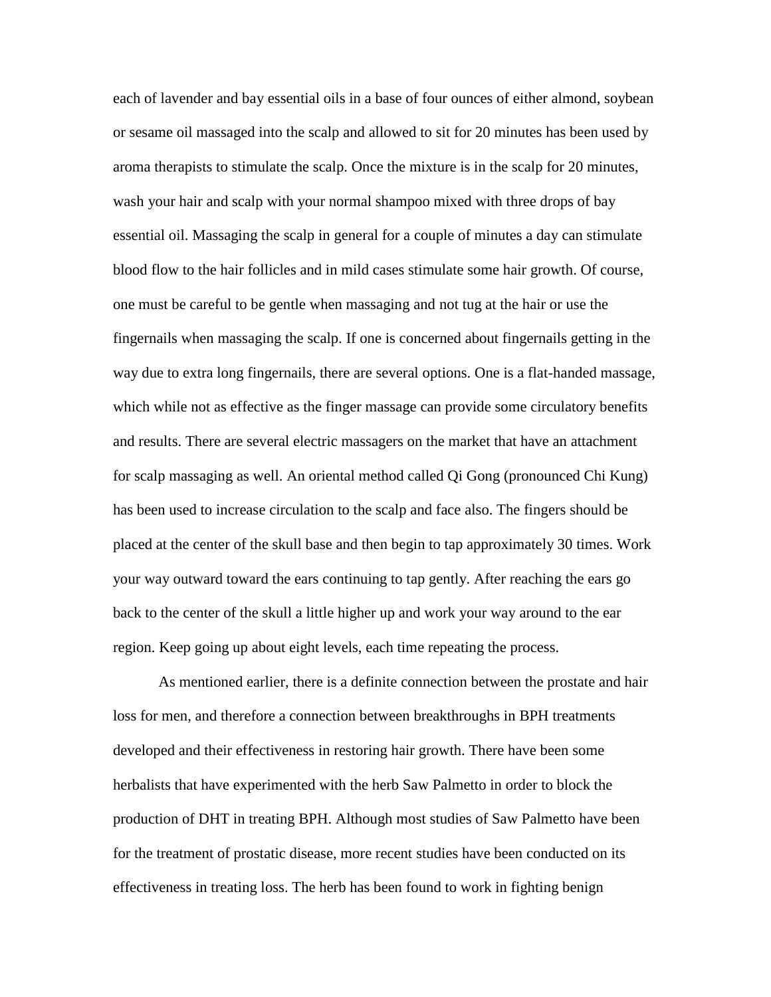each of lavender and bay essential oils in a base of four ounces of either almond, soybean or sesame oil massaged into the scalp and allowed to sit for 20 minutes has been used by aroma therapists to stimulate the scalp. Once the mixture is in the scalp for 20 minutes, wash your hair and scalp with your normal shampoo mixed with three drops of bay essential oil. Massaging the scalp in general for a couple of minutes a day can stimulate blood flow to the hair follicles and in mild cases stimulate some hair growth. Of course, one must be careful to be gentle when massaging and not tug at the hair or use the fingernails when massaging the scalp. If one is concerned about fingernails getting in the way due to extra long fingernails, there are several options. One is a flat-handed massage, which while not as effective as the finger massage can provide some circulatory benefits and results. There are several electric massagers on the market that have an attachment for scalp massaging as well. An oriental method called Qi Gong (pronounced Chi Kung) has been used to increase circulation to the scalp and face also. The fingers should be placed at the center of the skull base and then begin to tap approximately 30 times. Work your way outward toward the ears continuing to tap gently. After reaching the ears go back to the center of the skull a little higher up and work your way around to the ear region. Keep going up about eight levels, each time repeating the process.

As mentioned earlier, there is a definite connection between the prostate and hair loss for men, and therefore a connection between breakthroughs in BPH treatments developed and their effectiveness in restoring hair growth. There have been some herbalists that have experimented with the herb Saw Palmetto in order to block the production of DHT in treating BPH. Although most studies of Saw Palmetto have been for the treatment of prostatic disease, more recent studies have been conducted on its effectiveness in treating loss. The herb has been found to work in fighting benign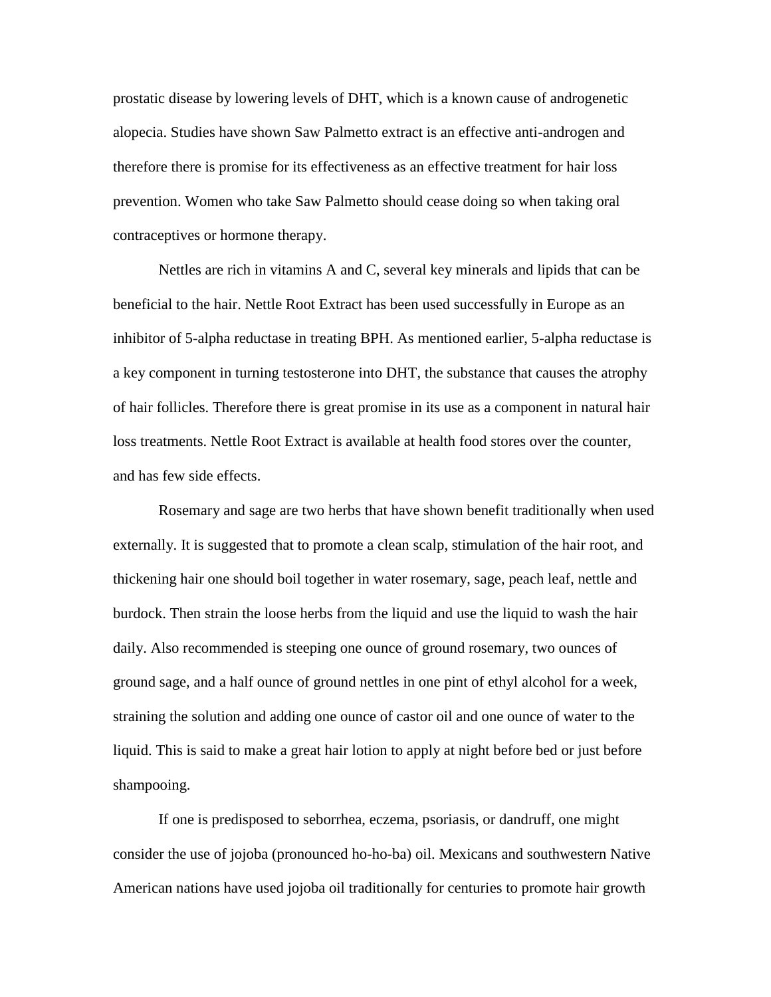prostatic disease by lowering levels of DHT, which is a known cause of androgenetic alopecia. Studies have shown Saw Palmetto extract is an effective anti-androgen and therefore there is promise for its effectiveness as an effective treatment for hair loss prevention. Women who take Saw Palmetto should cease doing so when taking oral contraceptives or hormone therapy.

Nettles are rich in vitamins A and C, several key minerals and lipids that can be beneficial to the hair. Nettle Root Extract has been used successfully in Europe as an inhibitor of 5-alpha reductase in treating BPH. As mentioned earlier, 5-alpha reductase is a key component in turning testosterone into DHT, the substance that causes the atrophy of hair follicles. Therefore there is great promise in its use as a component in natural hair loss treatments. Nettle Root Extract is available at health food stores over the counter, and has few side effects.

Rosemary and sage are two herbs that have shown benefit traditionally when used externally. It is suggested that to promote a clean scalp, stimulation of the hair root, and thickening hair one should boil together in water rosemary, sage, peach leaf, nettle and burdock. Then strain the loose herbs from the liquid and use the liquid to wash the hair daily. Also recommended is steeping one ounce of ground rosemary, two ounces of ground sage, and a half ounce of ground nettles in one pint of ethyl alcohol for a week, straining the solution and adding one ounce of castor oil and one ounce of water to the liquid. This is said to make a great hair lotion to apply at night before bed or just before shampooing.

If one is predisposed to seborrhea, eczema, psoriasis, or dandruff, one might consider the use of jojoba (pronounced ho-ho-ba) oil. Mexicans and southwestern Native American nations have used jojoba oil traditionally for centuries to promote hair growth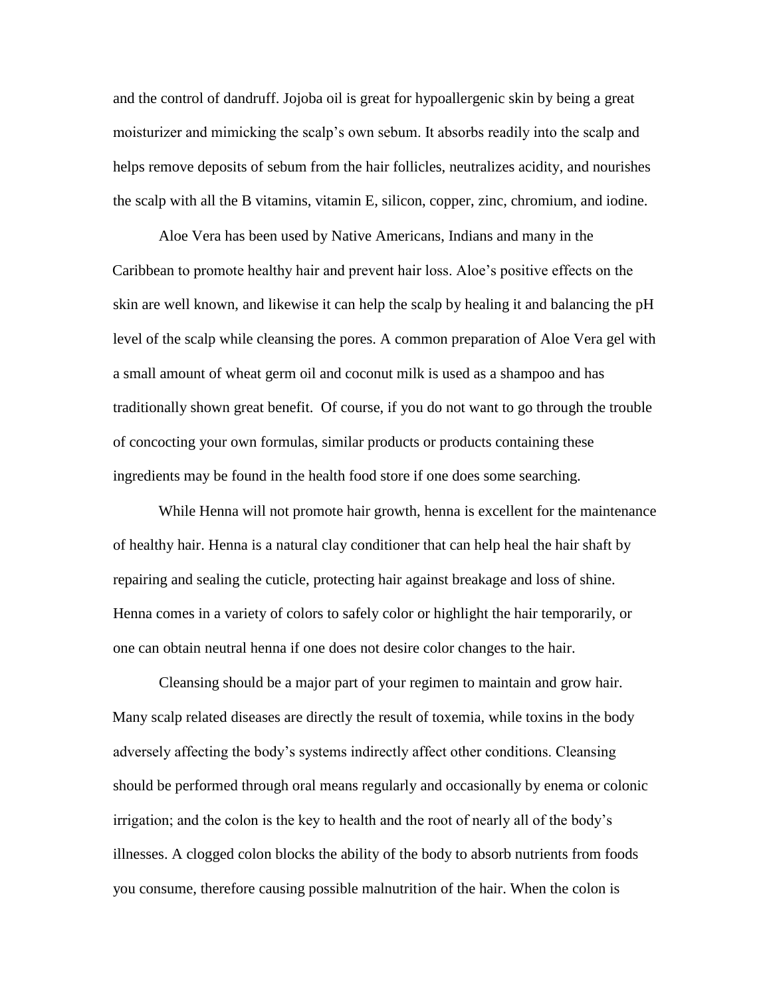and the control of dandruff. Jojoba oil is great for hypoallergenic skin by being a great moisturizer and mimicking the scalp's own sebum. It absorbs readily into the scalp and helps remove deposits of sebum from the hair follicles, neutralizes acidity, and nourishes the scalp with all the B vitamins, vitamin E, silicon, copper, zinc, chromium, and iodine.

Aloe Vera has been used by Native Americans, Indians and many in the Caribbean to promote healthy hair and prevent hair loss. Aloe's positive effects on the skin are well known, and likewise it can help the scalp by healing it and balancing the pH level of the scalp while cleansing the pores. A common preparation of Aloe Vera gel with a small amount of wheat germ oil and coconut milk is used as a shampoo and has traditionally shown great benefit. Of course, if you do not want to go through the trouble of concocting your own formulas, similar products or products containing these ingredients may be found in the health food store if one does some searching.

While Henna will not promote hair growth, henna is excellent for the maintenance of healthy hair. Henna is a natural clay conditioner that can help heal the hair shaft by repairing and sealing the cuticle, protecting hair against breakage and loss of shine. Henna comes in a variety of colors to safely color or highlight the hair temporarily, or one can obtain neutral henna if one does not desire color changes to the hair.

Cleansing should be a major part of your regimen to maintain and grow hair. Many scalp related diseases are directly the result of toxemia, while toxins in the body adversely affecting the body's systems indirectly affect other conditions. Cleansing should be performed through oral means regularly and occasionally by enema or colonic irrigation; and the colon is the key to health and the root of nearly all of the body's illnesses. A clogged colon blocks the ability of the body to absorb nutrients from foods you consume, therefore causing possible malnutrition of the hair. When the colon is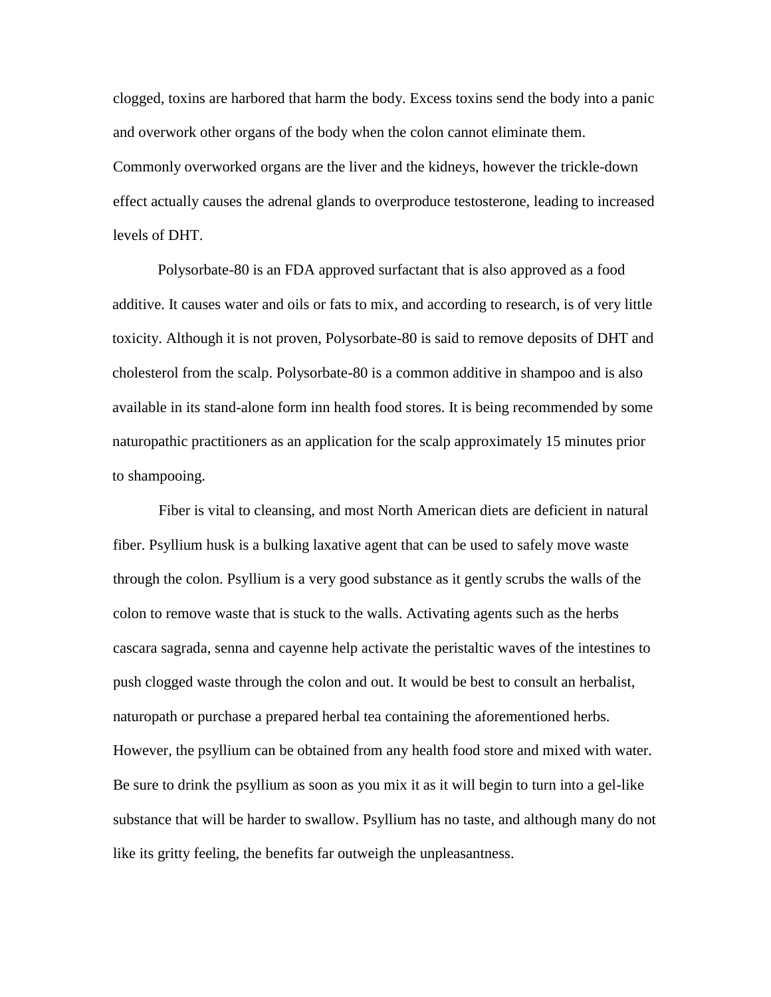clogged, toxins are harbored that harm the body. Excess toxins send the body into a panic and overwork other organs of the body when the colon cannot eliminate them. Commonly overworked organs are the liver and the kidneys, however the trickle-down effect actually causes the adrenal glands to overproduce testosterone, leading to increased levels of DHT.

Polysorbate-80 is an FDA approved surfactant that is also approved as a food additive. It causes water and oils or fats to mix, and according to research, is of very little toxicity. Although it is not proven, Polysorbate-80 is said to remove deposits of DHT and cholesterol from the scalp. Polysorbate-80 is a common additive in shampoo and is also available in its stand-alone form inn health food stores. It is being recommended by some naturopathic practitioners as an application for the scalp approximately 15 minutes prior to shampooing.

Fiber is vital to cleansing, and most North American diets are deficient in natural fiber. Psyllium husk is a bulking laxative agent that can be used to safely move waste through the colon. Psyllium is a very good substance as it gently scrubs the walls of the colon to remove waste that is stuck to the walls. Activating agents such as the herbs cascara sagrada, senna and cayenne help activate the peristaltic waves of the intestines to push clogged waste through the colon and out. It would be best to consult an herbalist, naturopath or purchase a prepared herbal tea containing the aforementioned herbs. However, the psyllium can be obtained from any health food store and mixed with water. Be sure to drink the psyllium as soon as you mix it as it will begin to turn into a gel-like substance that will be harder to swallow. Psyllium has no taste, and although many do not like its gritty feeling, the benefits far outweigh the unpleasantness.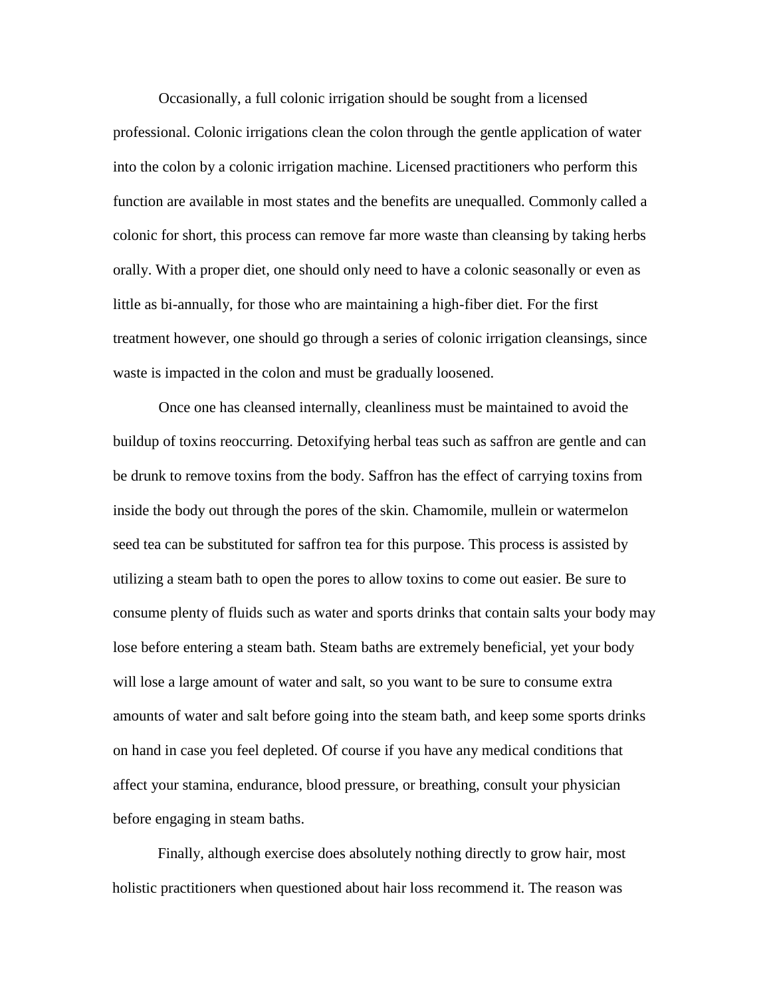Occasionally, a full colonic irrigation should be sought from a licensed professional. Colonic irrigations clean the colon through the gentle application of water into the colon by a colonic irrigation machine. Licensed practitioners who perform this function are available in most states and the benefits are unequalled. Commonly called a colonic for short, this process can remove far more waste than cleansing by taking herbs orally. With a proper diet, one should only need to have a colonic seasonally or even as little as bi-annually, for those who are maintaining a high-fiber diet. For the first treatment however, one should go through a series of colonic irrigation cleansings, since waste is impacted in the colon and must be gradually loosened.

Once one has cleansed internally, cleanliness must be maintained to avoid the buildup of toxins reoccurring. Detoxifying herbal teas such as saffron are gentle and can be drunk to remove toxins from the body. Saffron has the effect of carrying toxins from inside the body out through the pores of the skin. Chamomile, mullein or watermelon seed tea can be substituted for saffron tea for this purpose. This process is assisted by utilizing a steam bath to open the pores to allow toxins to come out easier. Be sure to consume plenty of fluids such as water and sports drinks that contain salts your body may lose before entering a steam bath. Steam baths are extremely beneficial, yet your body will lose a large amount of water and salt, so you want to be sure to consume extra amounts of water and salt before going into the steam bath, and keep some sports drinks on hand in case you feel depleted. Of course if you have any medical conditions that affect your stamina, endurance, blood pressure, or breathing, consult your physician before engaging in steam baths.

Finally, although exercise does absolutely nothing directly to grow hair, most holistic practitioners when questioned about hair loss recommend it. The reason was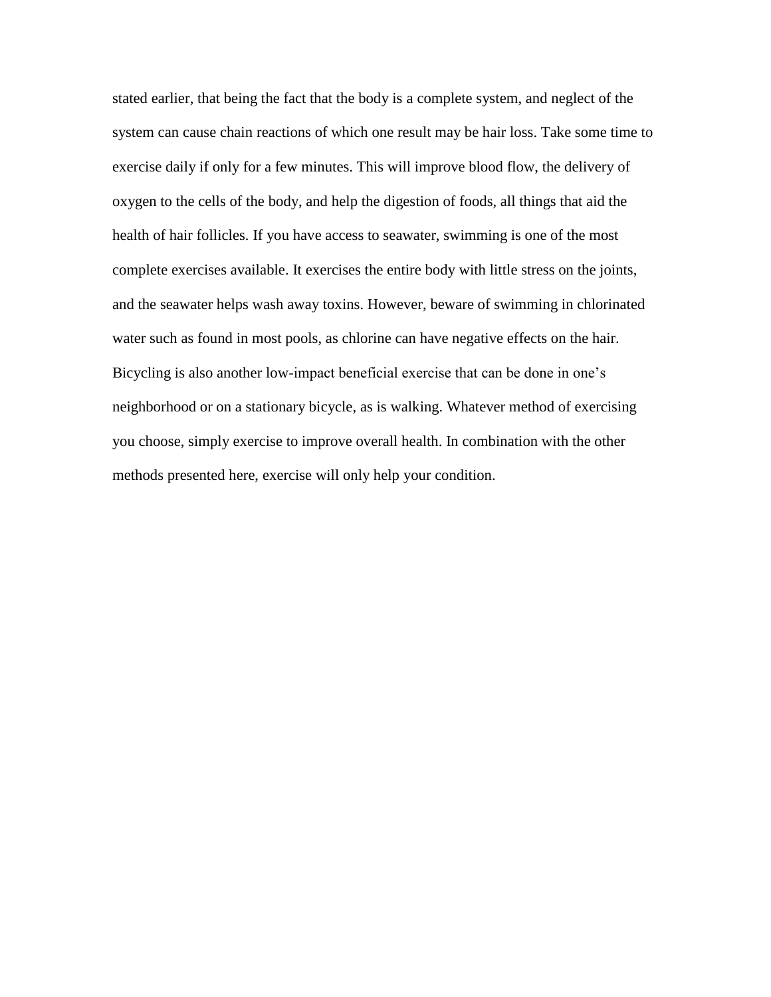stated earlier, that being the fact that the body is a complete system, and neglect of the system can cause chain reactions of which one result may be hair loss. Take some time to exercise daily if only for a few minutes. This will improve blood flow, the delivery of oxygen to the cells of the body, and help the digestion of foods, all things that aid the health of hair follicles. If you have access to seawater, swimming is one of the most complete exercises available. It exercises the entire body with little stress on the joints, and the seawater helps wash away toxins. However, beware of swimming in chlorinated water such as found in most pools, as chlorine can have negative effects on the hair. Bicycling is also another low-impact beneficial exercise that can be done in one's neighborhood or on a stationary bicycle, as is walking. Whatever method of exercising you choose, simply exercise to improve overall health. In combination with the other methods presented here, exercise will only help your condition.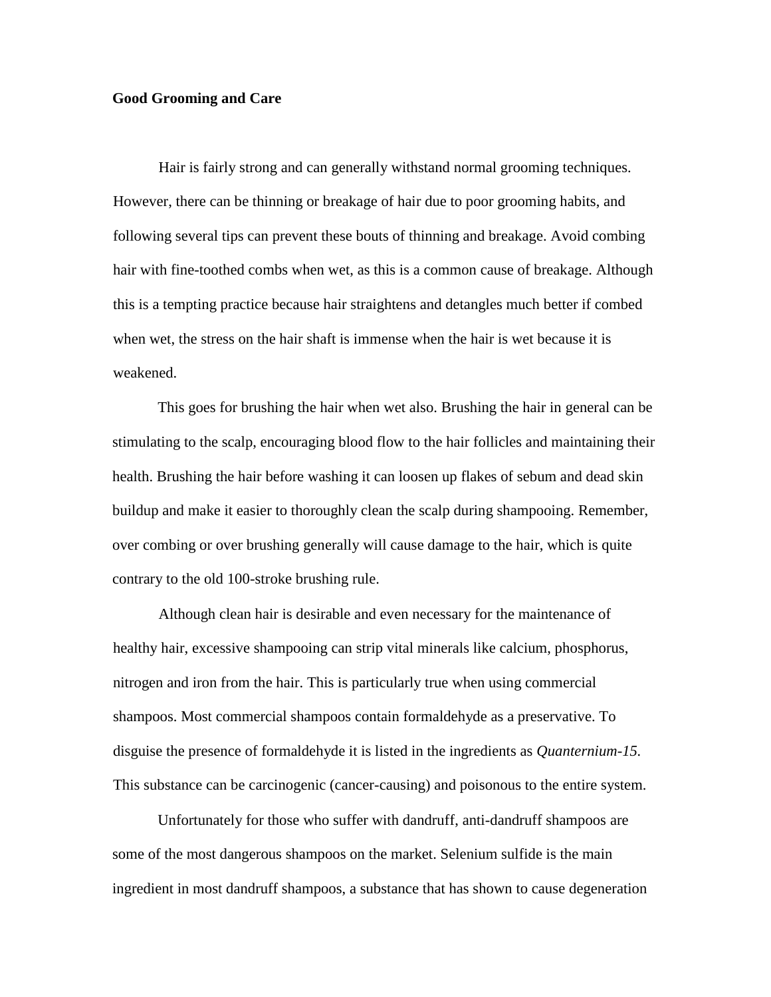## **Good Grooming and Care**

Hair is fairly strong and can generally withstand normal grooming techniques. However, there can be thinning or breakage of hair due to poor grooming habits, and following several tips can prevent these bouts of thinning and breakage. Avoid combing hair with fine-toothed combs when wet, as this is a common cause of breakage. Although this is a tempting practice because hair straightens and detangles much better if combed when wet, the stress on the hair shaft is immense when the hair is wet because it is weakened.

This goes for brushing the hair when wet also. Brushing the hair in general can be stimulating to the scalp, encouraging blood flow to the hair follicles and maintaining their health. Brushing the hair before washing it can loosen up flakes of sebum and dead skin buildup and make it easier to thoroughly clean the scalp during shampooing. Remember, over combing or over brushing generally will cause damage to the hair, which is quite contrary to the old 100-stroke brushing rule.

Although clean hair is desirable and even necessary for the maintenance of healthy hair, excessive shampooing can strip vital minerals like calcium, phosphorus, nitrogen and iron from the hair. This is particularly true when using commercial shampoos. Most commercial shampoos contain formaldehyde as a preservative. To disguise the presence of formaldehyde it is listed in the ingredients as *Quanternium-15.* This substance can be carcinogenic (cancer-causing) and poisonous to the entire system.

Unfortunately for those who suffer with dandruff, anti-dandruff shampoos are some of the most dangerous shampoos on the market. Selenium sulfide is the main ingredient in most dandruff shampoos, a substance that has shown to cause degeneration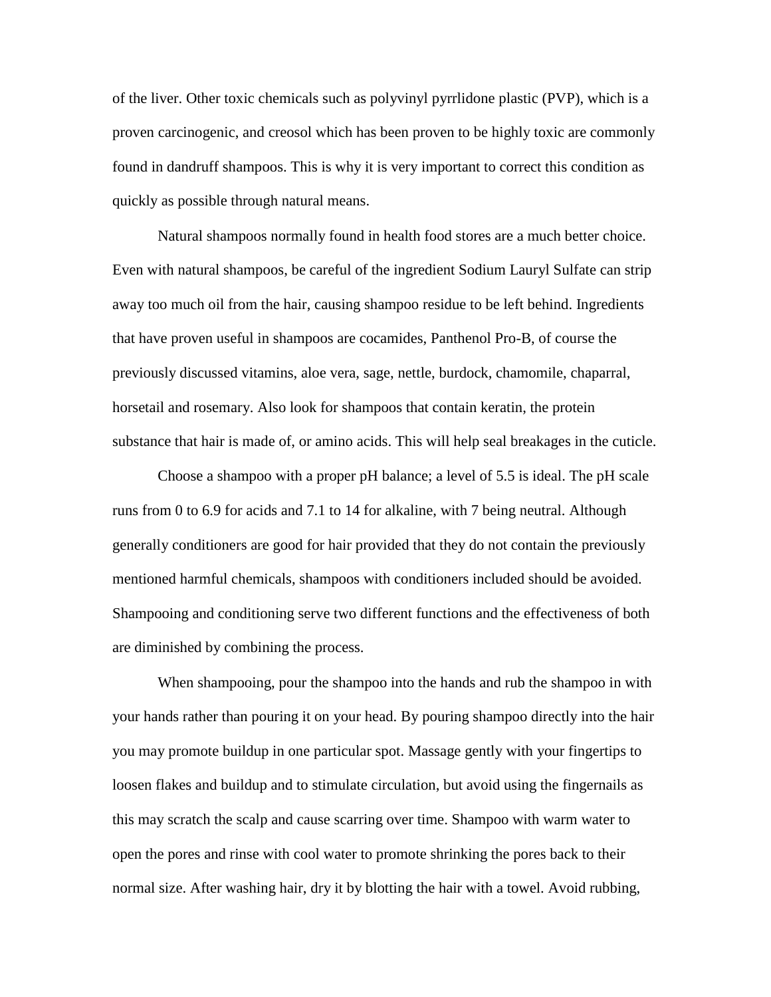of the liver. Other toxic chemicals such as polyvinyl pyrrlidone plastic (PVP), which is a proven carcinogenic, and creosol which has been proven to be highly toxic are commonly found in dandruff shampoos. This is why it is very important to correct this condition as quickly as possible through natural means.

Natural shampoos normally found in health food stores are a much better choice. Even with natural shampoos, be careful of the ingredient Sodium Lauryl Sulfate can strip away too much oil from the hair, causing shampoo residue to be left behind. Ingredients that have proven useful in shampoos are cocamides, Panthenol Pro-B, of course the previously discussed vitamins, aloe vera, sage, nettle, burdock, chamomile, chaparral, horsetail and rosemary. Also look for shampoos that contain keratin, the protein substance that hair is made of, or amino acids. This will help seal breakages in the cuticle.

Choose a shampoo with a proper pH balance; a level of 5.5 is ideal. The pH scale runs from 0 to 6.9 for acids and 7.1 to 14 for alkaline, with 7 being neutral. Although generally conditioners are good for hair provided that they do not contain the previously mentioned harmful chemicals, shampoos with conditioners included should be avoided. Shampooing and conditioning serve two different functions and the effectiveness of both are diminished by combining the process.

When shampooing, pour the shampoo into the hands and rub the shampoo in with your hands rather than pouring it on your head. By pouring shampoo directly into the hair you may promote buildup in one particular spot. Massage gently with your fingertips to loosen flakes and buildup and to stimulate circulation, but avoid using the fingernails as this may scratch the scalp and cause scarring over time. Shampoo with warm water to open the pores and rinse with cool water to promote shrinking the pores back to their normal size. After washing hair, dry it by blotting the hair with a towel. Avoid rubbing,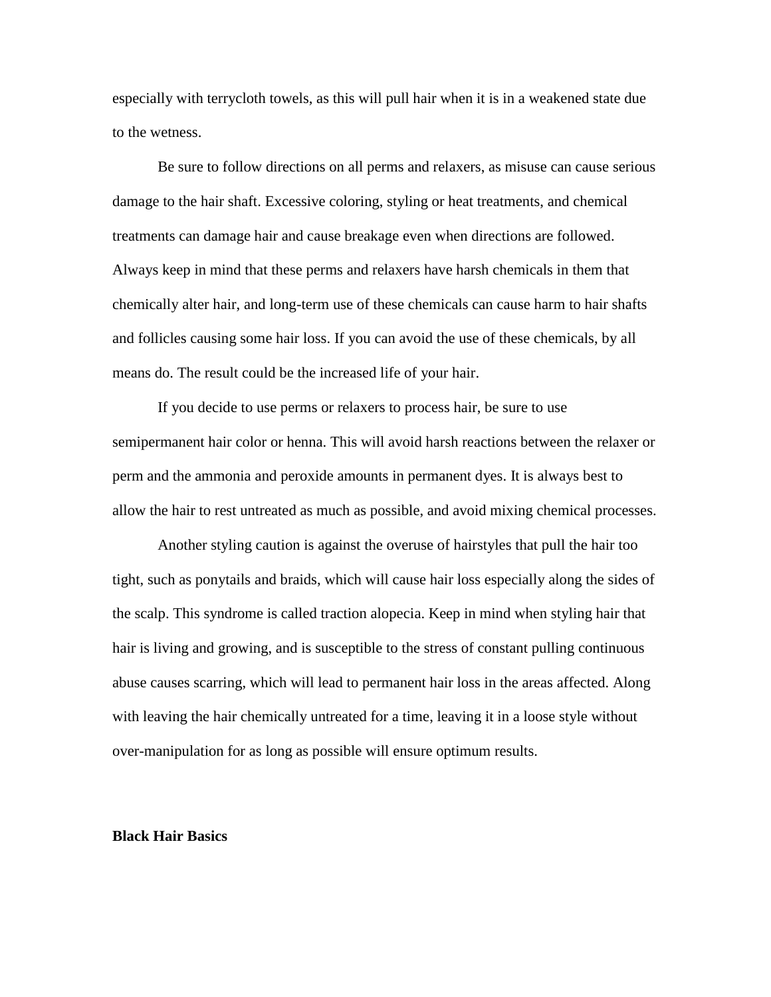especially with terrycloth towels, as this will pull hair when it is in a weakened state due to the wetness.

Be sure to follow directions on all perms and relaxers, as misuse can cause serious damage to the hair shaft. Excessive coloring, styling or heat treatments, and chemical treatments can damage hair and cause breakage even when directions are followed. Always keep in mind that these perms and relaxers have harsh chemicals in them that chemically alter hair, and long-term use of these chemicals can cause harm to hair shafts and follicles causing some hair loss. If you can avoid the use of these chemicals, by all means do. The result could be the increased life of your hair.

If you decide to use perms or relaxers to process hair, be sure to use semipermanent hair color or henna. This will avoid harsh reactions between the relaxer or perm and the ammonia and peroxide amounts in permanent dyes. It is always best to allow the hair to rest untreated as much as possible, and avoid mixing chemical processes.

Another styling caution is against the overuse of hairstyles that pull the hair too tight, such as ponytails and braids, which will cause hair loss especially along the sides of the scalp. This syndrome is called traction alopecia. Keep in mind when styling hair that hair is living and growing, and is susceptible to the stress of constant pulling continuous abuse causes scarring, which will lead to permanent hair loss in the areas affected. Along with leaving the hair chemically untreated for a time, leaving it in a loose style without over-manipulation for as long as possible will ensure optimum results.

#### **Black Hair Basics**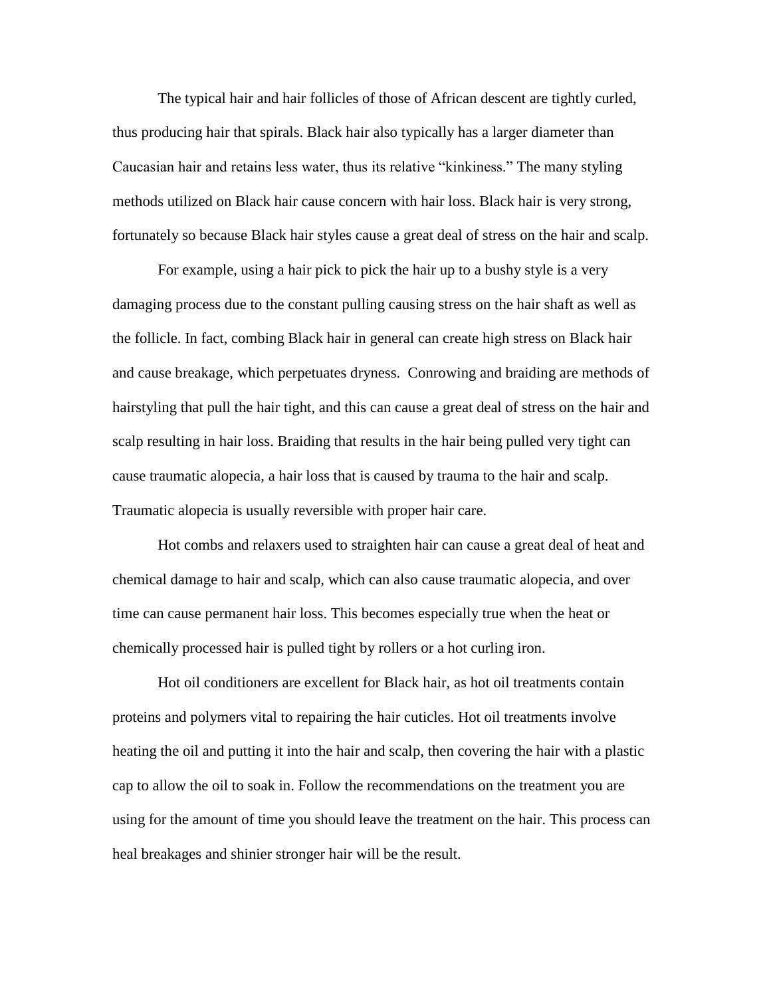The typical hair and hair follicles of those of African descent are tightly curled, thus producing hair that spirals. Black hair also typically has a larger diameter than Caucasian hair and retains less water, thus its relative "kinkiness." The many styling methods utilized on Black hair cause concern with hair loss. Black hair is very strong, fortunately so because Black hair styles cause a great deal of stress on the hair and scalp.

For example, using a hair pick to pick the hair up to a bushy style is a very damaging process due to the constant pulling causing stress on the hair shaft as well as the follicle. In fact, combing Black hair in general can create high stress on Black hair and cause breakage, which perpetuates dryness. Conrowing and braiding are methods of hairstyling that pull the hair tight, and this can cause a great deal of stress on the hair and scalp resulting in hair loss. Braiding that results in the hair being pulled very tight can cause traumatic alopecia, a hair loss that is caused by trauma to the hair and scalp. Traumatic alopecia is usually reversible with proper hair care.

Hot combs and relaxers used to straighten hair can cause a great deal of heat and chemical damage to hair and scalp, which can also cause traumatic alopecia, and over time can cause permanent hair loss. This becomes especially true when the heat or chemically processed hair is pulled tight by rollers or a hot curling iron.

Hot oil conditioners are excellent for Black hair, as hot oil treatments contain proteins and polymers vital to repairing the hair cuticles. Hot oil treatments involve heating the oil and putting it into the hair and scalp, then covering the hair with a plastic cap to allow the oil to soak in. Follow the recommendations on the treatment you are using for the amount of time you should leave the treatment on the hair. This process can heal breakages and shinier stronger hair will be the result.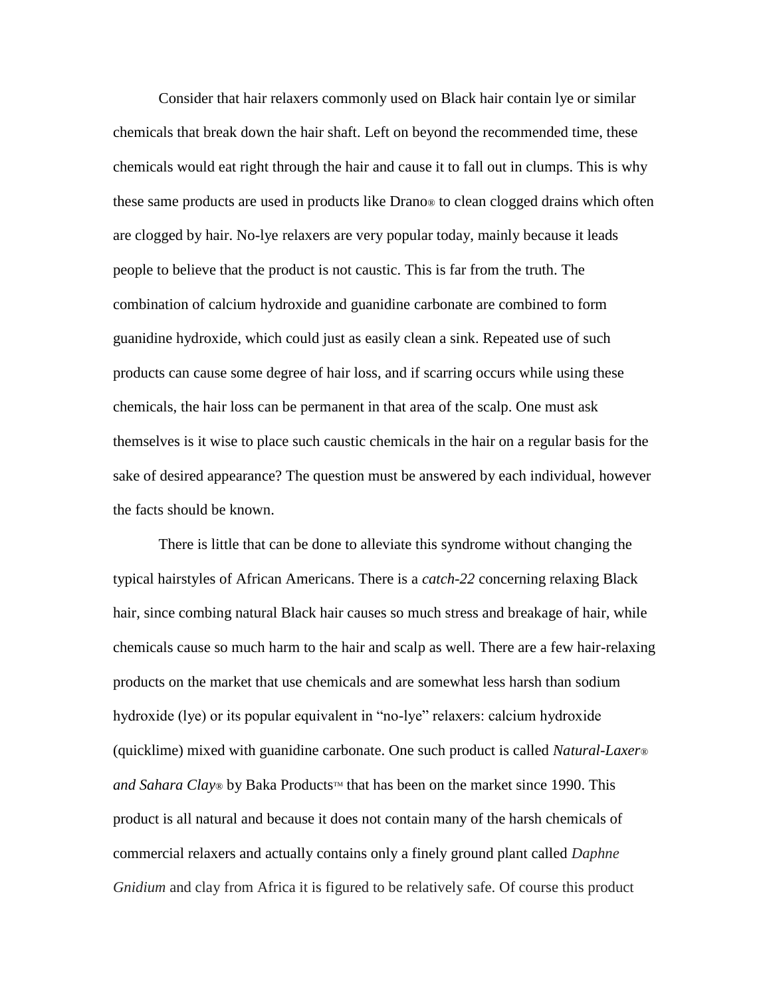Consider that hair relaxers commonly used on Black hair contain lye or similar chemicals that break down the hair shaft. Left on beyond the recommended time, these chemicals would eat right through the hair and cause it to fall out in clumps. This is why these same products are used in products like Drano® to clean clogged drains which often are clogged by hair. No-lye relaxers are very popular today, mainly because it leads people to believe that the product is not caustic. This is far from the truth. The combination of calcium hydroxide and guanidine carbonate are combined to form guanidine hydroxide, which could just as easily clean a sink. Repeated use of such products can cause some degree of hair loss, and if scarring occurs while using these chemicals, the hair loss can be permanent in that area of the scalp. One must ask themselves is it wise to place such caustic chemicals in the hair on a regular basis for the sake of desired appearance? The question must be answered by each individual, however the facts should be known.

There is little that can be done to alleviate this syndrome without changing the typical hairstyles of African Americans. There is a *catch-22* concerning relaxing Black hair, since combing natural Black hair causes so much stress and breakage of hair, while chemicals cause so much harm to the hair and scalp as well. There are a few hair-relaxing products on the market that use chemicals and are somewhat less harsh than sodium hydroxide (lye) or its popular equivalent in "no-lye" relaxers: calcium hydroxide (quicklime) mixed with guanidine carbonate. One such product is called *Natural-Laxer® and Sahara Clay*® by Baka Products™ that has been on the market since 1990. This product is all natural and because it does not contain many of the harsh chemicals of commercial relaxers and actually contains only a finely ground plant called *Daphne Gnidium* and clay from Africa it is figured to be relatively safe. Of course this product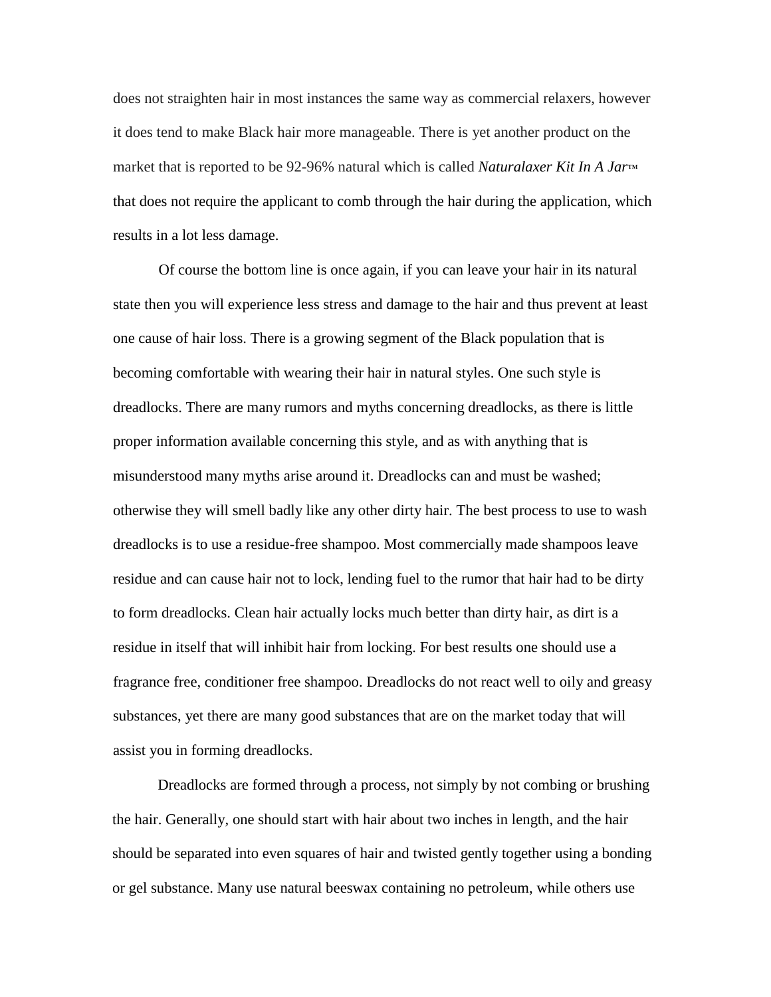does not straighten hair in most instances the same way as commercial relaxers, however it does tend to make Black hair more manageable. There is yet another product on the market that is reported to be 92-96% natural which is called *Naturalaxer Kit In A Jar*™ that does not require the applicant to comb through the hair during the application, which results in a lot less damage.

Of course the bottom line is once again, if you can leave your hair in its natural state then you will experience less stress and damage to the hair and thus prevent at least one cause of hair loss. There is a growing segment of the Black population that is becoming comfortable with wearing their hair in natural styles. One such style is dreadlocks. There are many rumors and myths concerning dreadlocks, as there is little proper information available concerning this style, and as with anything that is misunderstood many myths arise around it. Dreadlocks can and must be washed; otherwise they will smell badly like any other dirty hair. The best process to use to wash dreadlocks is to use a residue-free shampoo. Most commercially made shampoos leave residue and can cause hair not to lock, lending fuel to the rumor that hair had to be dirty to form dreadlocks. Clean hair actually locks much better than dirty hair, as dirt is a residue in itself that will inhibit hair from locking. For best results one should use a fragrance free, conditioner free shampoo. Dreadlocks do not react well to oily and greasy substances, yet there are many good substances that are on the market today that will assist you in forming dreadlocks.

Dreadlocks are formed through a process, not simply by not combing or brushing the hair. Generally, one should start with hair about two inches in length, and the hair should be separated into even squares of hair and twisted gently together using a bonding or gel substance. Many use natural beeswax containing no petroleum, while others use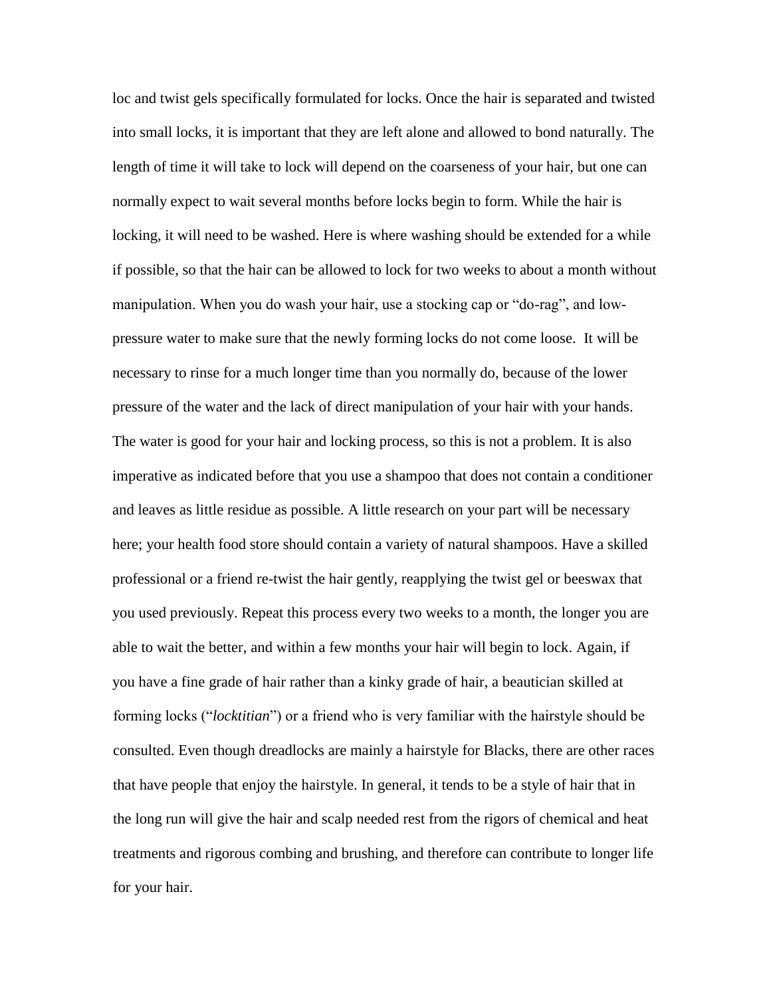loc and twist gels specifically formulated for locks. Once the hair is separated and twisted into small locks, it is important that they are left alone and allowed to bond naturally. The length of time it will take to lock will depend on the coarseness of your hair, but one can normally expect to wait several months before locks begin to form. While the hair is locking, it will need to be washed. Here is where washing should be extended for a while if possible, so that the hair can be allowed to lock for two weeks to about a month without manipulation. When you do wash your hair, use a stocking cap or "do-rag", and lowpressure water to make sure that the newly forming locks do not come loose. It will be necessary to rinse for a much longer time than you normally do, because of the lower pressure of the water and the lack of direct manipulation of your hair with your hands. The water is good for your hair and locking process, so this is not a problem. It is also imperative as indicated before that you use a shampoo that does not contain a conditioner and leaves as little residue as possible. A little research on your part will be necessary here; your health food store should contain a variety of natural shampoos. Have a skilled professional or a friend re-twist the hair gently, reapplying the twist gel or beeswax that you used previously. Repeat this process every two weeks to a month, the longer you are able to wait the better, and within a few months your hair will begin to lock. Again, if you have a fine grade of hair rather than a kinky grade of hair, a beautician skilled at forming locks ("*locktitian*") or a friend who is very familiar with the hairstyle should be consulted. Even though dreadlocks are mainly a hairstyle for Blacks, there are other races that have people that enjoy the hairstyle. In general, it tends to be a style of hair that in the long run will give the hair and scalp needed rest from the rigors of chemical and heat treatments and rigorous combing and brushing, and therefore can contribute to longer life for your hair.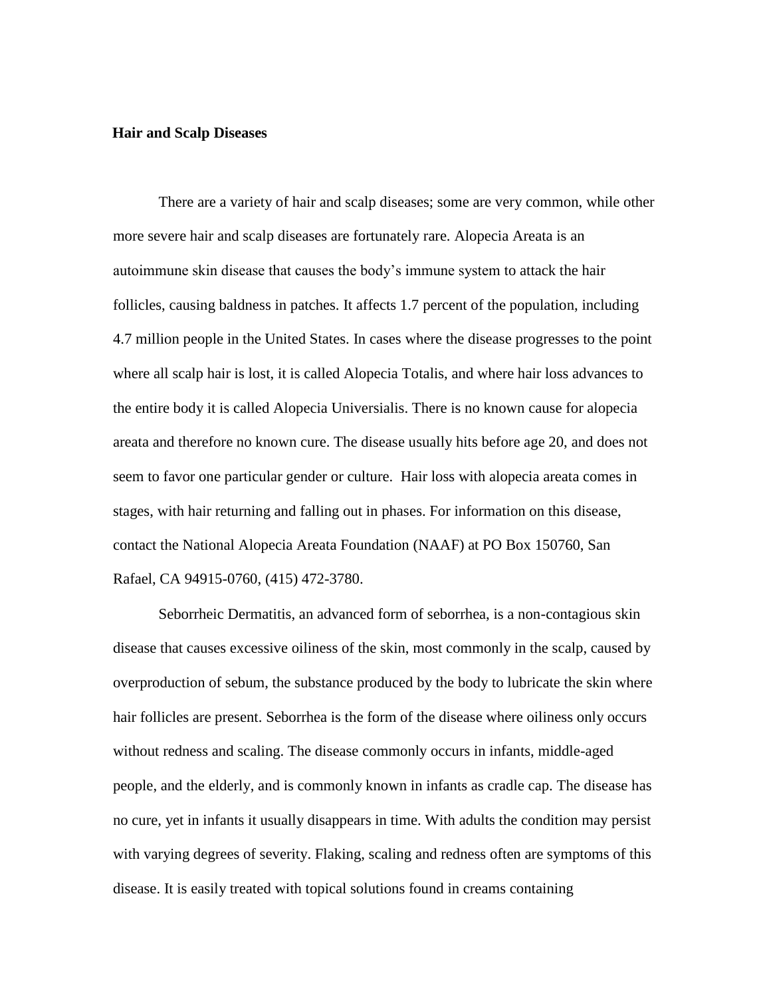#### **Hair and Scalp Diseases**

There are a variety of hair and scalp diseases; some are very common, while other more severe hair and scalp diseases are fortunately rare. Alopecia Areata is an autoimmune skin disease that causes the body's immune system to attack the hair follicles, causing baldness in patches. It affects 1.7 percent of the population, including 4.7 million people in the United States. In cases where the disease progresses to the point where all scalp hair is lost, it is called Alopecia Totalis, and where hair loss advances to the entire body it is called Alopecia Universialis. There is no known cause for alopecia areata and therefore no known cure. The disease usually hits before age 20, and does not seem to favor one particular gender or culture. Hair loss with alopecia areata comes in stages, with hair returning and falling out in phases. For information on this disease, contact the National Alopecia Areata Foundation (NAAF) at PO Box 150760, San Rafael, CA 94915-0760, (415) 472-3780.

Seborrheic Dermatitis, an advanced form of seborrhea, is a non-contagious skin disease that causes excessive oiliness of the skin, most commonly in the scalp, caused by overproduction of sebum, the substance produced by the body to lubricate the skin where hair follicles are present. Seborrhea is the form of the disease where oiliness only occurs without redness and scaling. The disease commonly occurs in infants, middle-aged people, and the elderly, and is commonly known in infants as cradle cap. The disease has no cure, yet in infants it usually disappears in time. With adults the condition may persist with varying degrees of severity. Flaking, scaling and redness often are symptoms of this disease. It is easily treated with topical solutions found in creams containing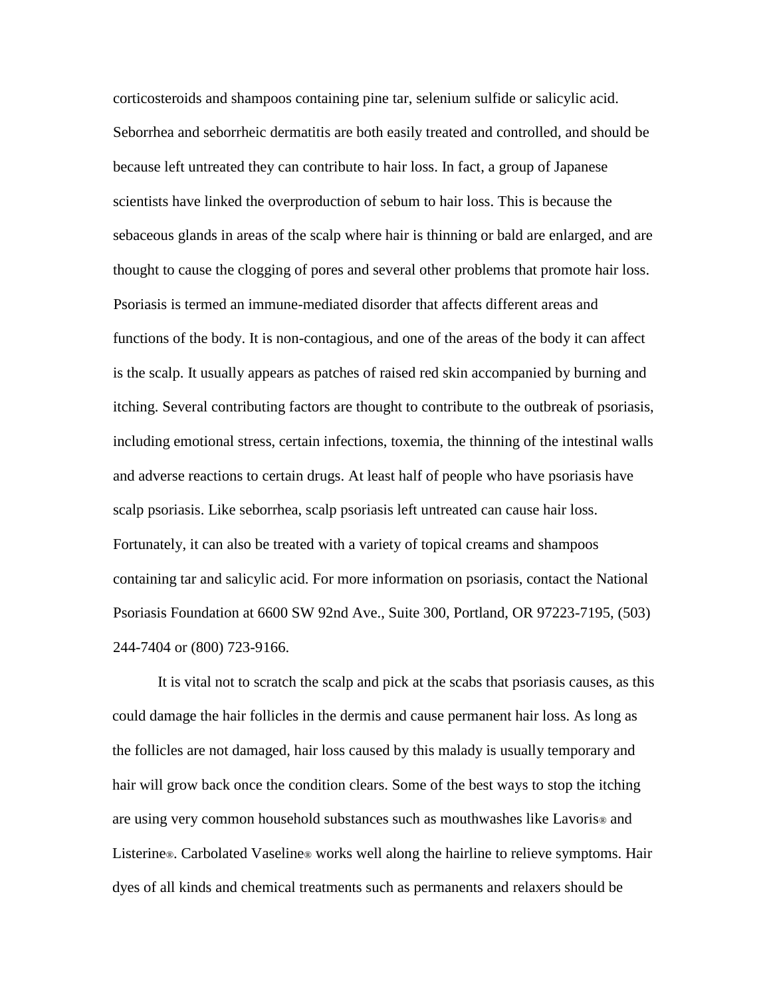corticosteroids and shampoos containing pine tar, selenium sulfide or salicylic acid. Seborrhea and seborrheic dermatitis are both easily treated and controlled, and should be because left untreated they can contribute to hair loss. In fact, a group of Japanese scientists have linked the overproduction of sebum to hair loss. This is because the sebaceous glands in areas of the scalp where hair is thinning or bald are enlarged, and are thought to cause the clogging of pores and several other problems that promote hair loss. Psoriasis is termed an immune-mediated disorder that affects different areas and functions of the body. It is non-contagious, and one of the areas of the body it can affect is the scalp. It usually appears as patches of raised red skin accompanied by burning and itching. Several contributing factors are thought to contribute to the outbreak of psoriasis, including emotional stress, certain infections, toxemia, the thinning of the intestinal walls and adverse reactions to certain drugs. At least half of people who have psoriasis have scalp psoriasis. Like seborrhea, scalp psoriasis left untreated can cause hair loss. Fortunately, it can also be treated with a variety of topical creams and shampoos containing tar and salicylic acid. For more information on psoriasis, contact the National Psoriasis Foundation at 6600 SW 92nd Ave., Suite 300, Portland, OR 97223-7195, (503) 244-7404 or (800) 723-9166.

It is vital not to scratch the scalp and pick at the scabs that psoriasis causes, as this could damage the hair follicles in the dermis and cause permanent hair loss. As long as the follicles are not damaged, hair loss caused by this malady is usually temporary and hair will grow back once the condition clears. Some of the best ways to stop the itching are using very common household substances such as mouthwashes like Lavoris® and Listerine®. Carbolated Vaseline® works well along the hairline to relieve symptoms. Hair dyes of all kinds and chemical treatments such as permanents and relaxers should be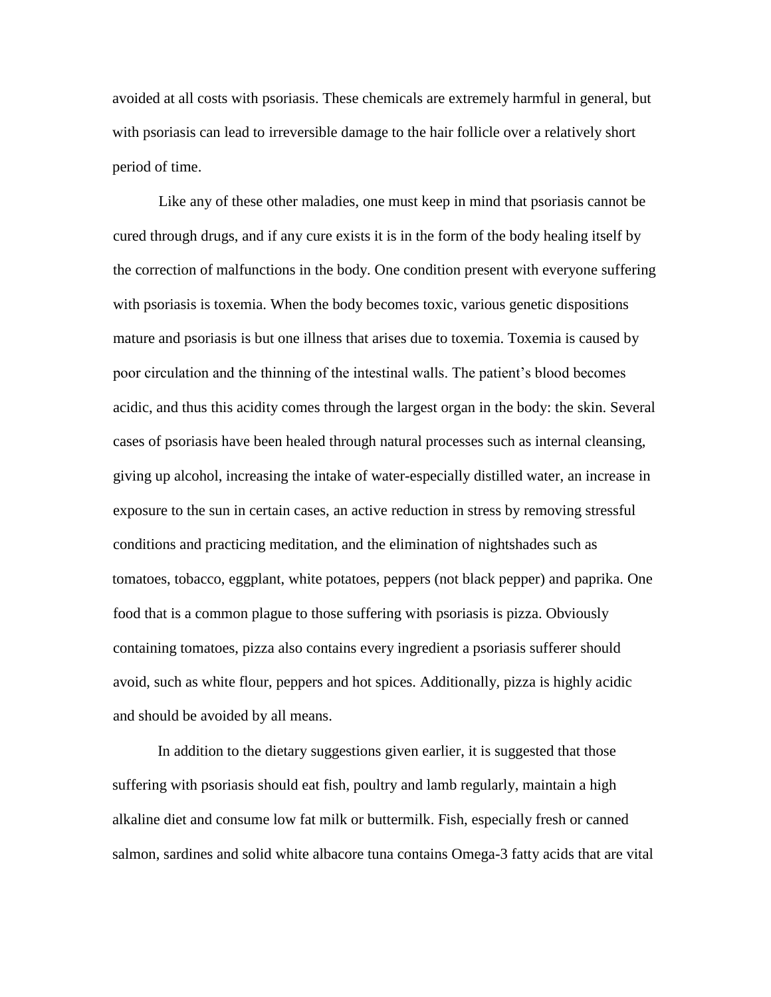avoided at all costs with psoriasis. These chemicals are extremely harmful in general, but with psoriasis can lead to irreversible damage to the hair follicle over a relatively short period of time.

Like any of these other maladies, one must keep in mind that psoriasis cannot be cured through drugs, and if any cure exists it is in the form of the body healing itself by the correction of malfunctions in the body. One condition present with everyone suffering with psoriasis is toxemia. When the body becomes toxic, various genetic dispositions mature and psoriasis is but one illness that arises due to toxemia. Toxemia is caused by poor circulation and the thinning of the intestinal walls. The patient's blood becomes acidic, and thus this acidity comes through the largest organ in the body: the skin. Several cases of psoriasis have been healed through natural processes such as internal cleansing, giving up alcohol, increasing the intake of water-especially distilled water, an increase in exposure to the sun in certain cases, an active reduction in stress by removing stressful conditions and practicing meditation, and the elimination of nightshades such as tomatoes, tobacco, eggplant, white potatoes, peppers (not black pepper) and paprika. One food that is a common plague to those suffering with psoriasis is pizza. Obviously containing tomatoes, pizza also contains every ingredient a psoriasis sufferer should avoid, such as white flour, peppers and hot spices. Additionally, pizza is highly acidic and should be avoided by all means.

In addition to the dietary suggestions given earlier, it is suggested that those suffering with psoriasis should eat fish, poultry and lamb regularly, maintain a high alkaline diet and consume low fat milk or buttermilk. Fish, especially fresh or canned salmon, sardines and solid white albacore tuna contains Omega-3 fatty acids that are vital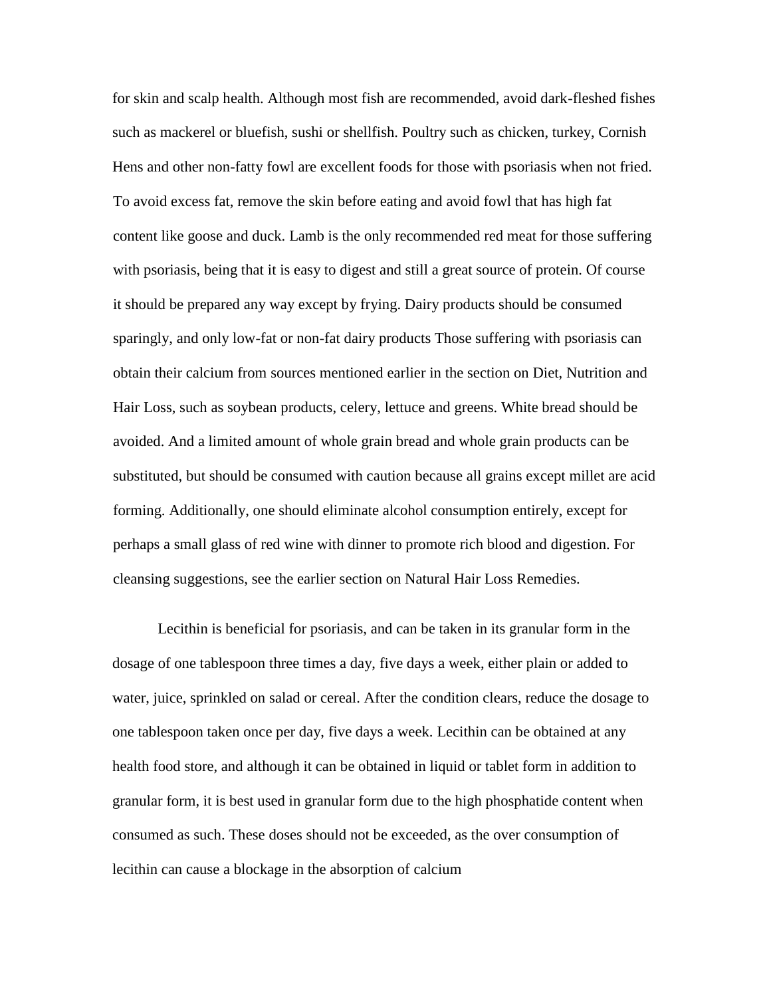for skin and scalp health. Although most fish are recommended, avoid dark-fleshed fishes such as mackerel or bluefish, sushi or shellfish. Poultry such as chicken, turkey, Cornish Hens and other non-fatty fowl are excellent foods for those with psoriasis when not fried. To avoid excess fat, remove the skin before eating and avoid fowl that has high fat content like goose and duck. Lamb is the only recommended red meat for those suffering with psoriasis, being that it is easy to digest and still a great source of protein. Of course it should be prepared any way except by frying. Dairy products should be consumed sparingly, and only low-fat or non-fat dairy products Those suffering with psoriasis can obtain their calcium from sources mentioned earlier in the section on Diet, Nutrition and Hair Loss, such as soybean products, celery, lettuce and greens. White bread should be avoided. And a limited amount of whole grain bread and whole grain products can be substituted, but should be consumed with caution because all grains except millet are acid forming. Additionally, one should eliminate alcohol consumption entirely, except for perhaps a small glass of red wine with dinner to promote rich blood and digestion. For cleansing suggestions, see the earlier section on Natural Hair Loss Remedies.

Lecithin is beneficial for psoriasis, and can be taken in its granular form in the dosage of one tablespoon three times a day, five days a week, either plain or added to water, juice, sprinkled on salad or cereal. After the condition clears, reduce the dosage to one tablespoon taken once per day, five days a week. Lecithin can be obtained at any health food store, and although it can be obtained in liquid or tablet form in addition to granular form, it is best used in granular form due to the high phosphatide content when consumed as such. These doses should not be exceeded, as the over consumption of lecithin can cause a blockage in the absorption of calcium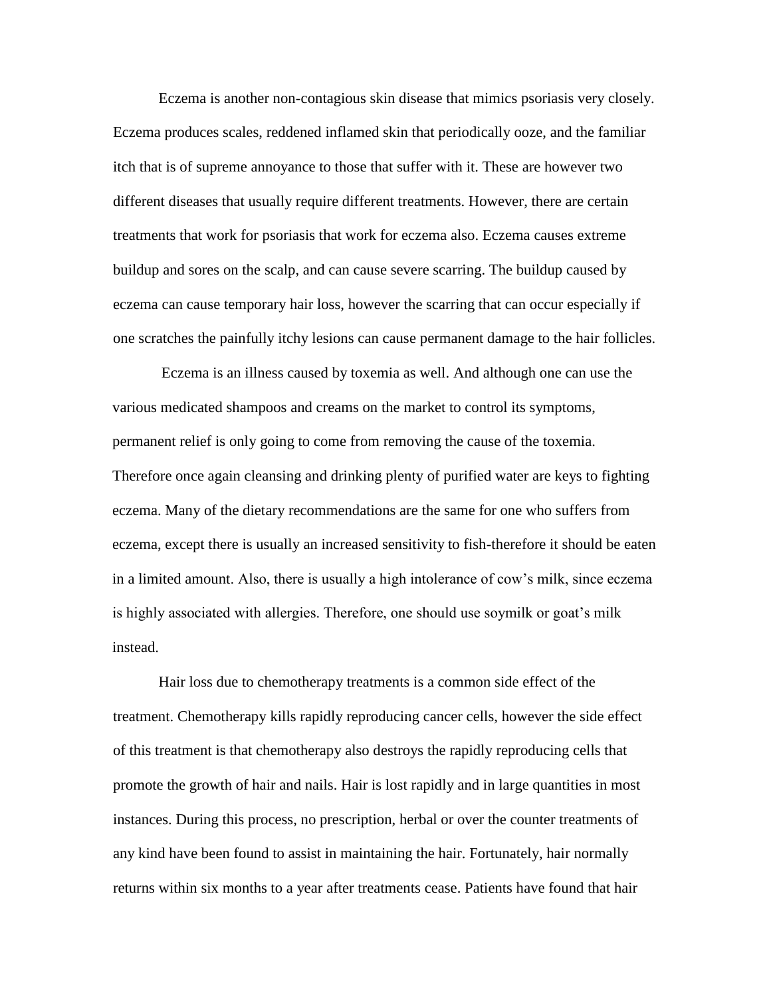Eczema is another non-contagious skin disease that mimics psoriasis very closely. Eczema produces scales, reddened inflamed skin that periodically ooze, and the familiar itch that is of supreme annoyance to those that suffer with it. These are however two different diseases that usually require different treatments. However, there are certain treatments that work for psoriasis that work for eczema also. Eczema causes extreme buildup and sores on the scalp, and can cause severe scarring. The buildup caused by eczema can cause temporary hair loss, however the scarring that can occur especially if one scratches the painfully itchy lesions can cause permanent damage to the hair follicles.

Eczema is an illness caused by toxemia as well. And although one can use the various medicated shampoos and creams on the market to control its symptoms, permanent relief is only going to come from removing the cause of the toxemia. Therefore once again cleansing and drinking plenty of purified water are keys to fighting eczema. Many of the dietary recommendations are the same for one who suffers from eczema, except there is usually an increased sensitivity to fish-therefore it should be eaten in a limited amount. Also, there is usually a high intolerance of cow's milk, since eczema is highly associated with allergies. Therefore, one should use soymilk or goat's milk instead.

Hair loss due to chemotherapy treatments is a common side effect of the treatment. Chemotherapy kills rapidly reproducing cancer cells, however the side effect of this treatment is that chemotherapy also destroys the rapidly reproducing cells that promote the growth of hair and nails. Hair is lost rapidly and in large quantities in most instances. During this process, no prescription, herbal or over the counter treatments of any kind have been found to assist in maintaining the hair. Fortunately, hair normally returns within six months to a year after treatments cease. Patients have found that hair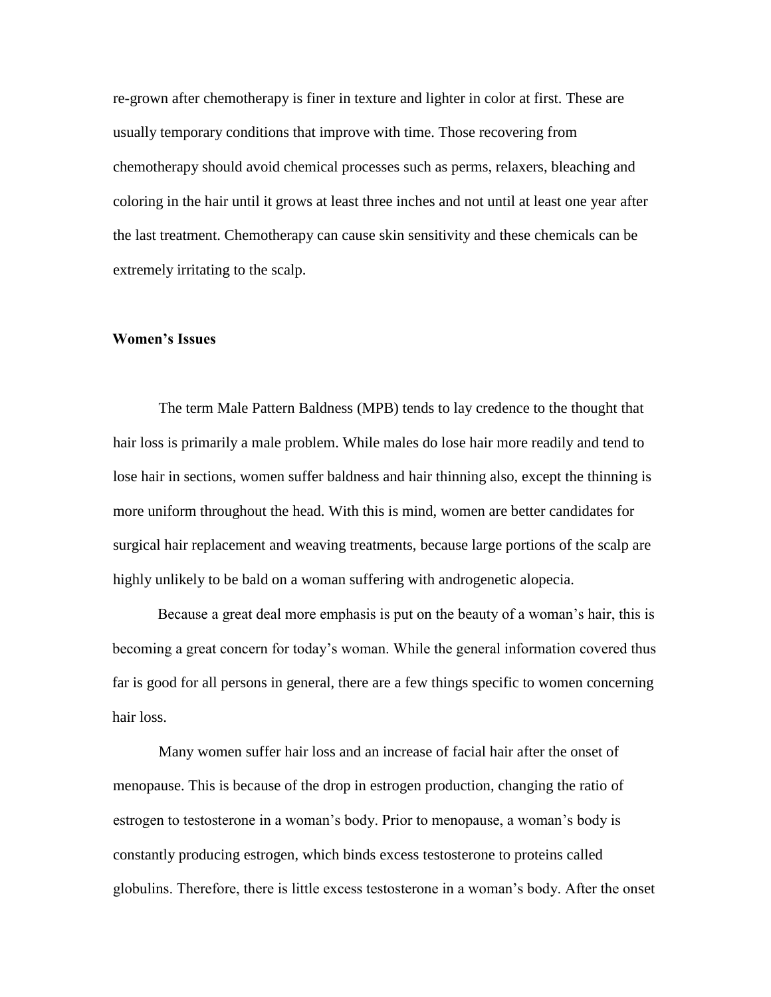re-grown after chemotherapy is finer in texture and lighter in color at first. These are usually temporary conditions that improve with time. Those recovering from chemotherapy should avoid chemical processes such as perms, relaxers, bleaching and coloring in the hair until it grows at least three inches and not until at least one year after the last treatment. Chemotherapy can cause skin sensitivity and these chemicals can be extremely irritating to the scalp.

#### **Women's Issues**

The term Male Pattern Baldness (MPB) tends to lay credence to the thought that hair loss is primarily a male problem. While males do lose hair more readily and tend to lose hair in sections, women suffer baldness and hair thinning also, except the thinning is more uniform throughout the head. With this is mind, women are better candidates for surgical hair replacement and weaving treatments, because large portions of the scalp are highly unlikely to be bald on a woman suffering with androgenetic alopecia.

Because a great deal more emphasis is put on the beauty of a woman's hair, this is becoming a great concern for today's woman. While the general information covered thus far is good for all persons in general, there are a few things specific to women concerning hair loss.

Many women suffer hair loss and an increase of facial hair after the onset of menopause. This is because of the drop in estrogen production, changing the ratio of estrogen to testosterone in a woman's body. Prior to menopause, a woman's body is constantly producing estrogen, which binds excess testosterone to proteins called globulins. Therefore, there is little excess testosterone in a woman's body. After the onset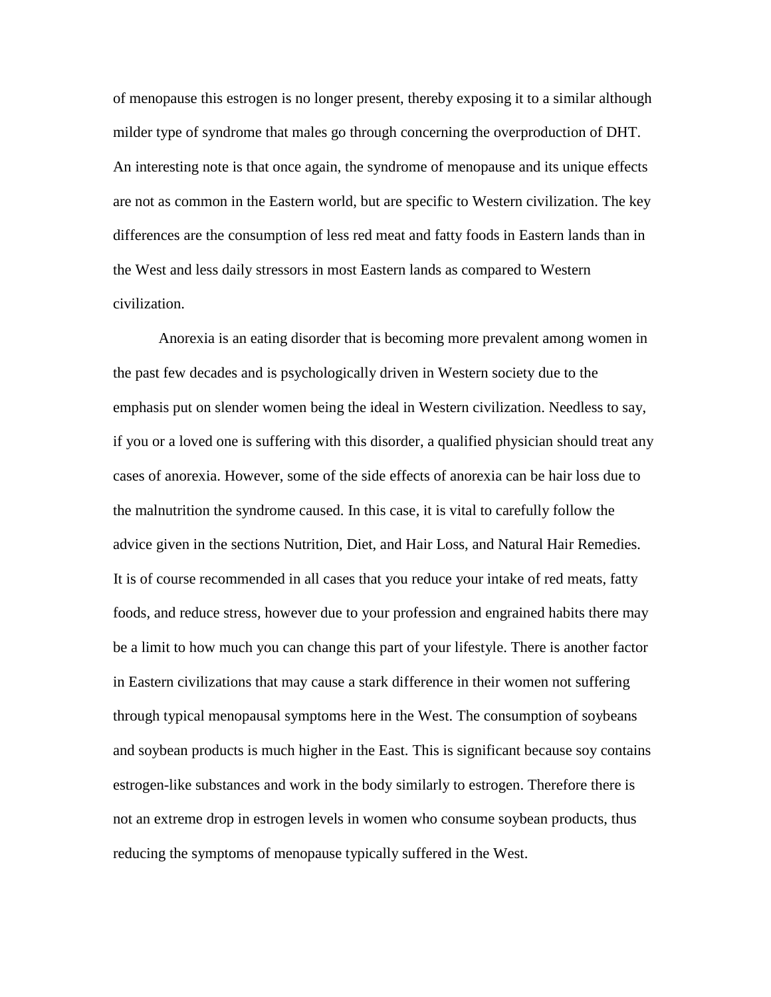of menopause this estrogen is no longer present, thereby exposing it to a similar although milder type of syndrome that males go through concerning the overproduction of DHT. An interesting note is that once again, the syndrome of menopause and its unique effects are not as common in the Eastern world, but are specific to Western civilization. The key differences are the consumption of less red meat and fatty foods in Eastern lands than in the West and less daily stressors in most Eastern lands as compared to Western civilization.

Anorexia is an eating disorder that is becoming more prevalent among women in the past few decades and is psychologically driven in Western society due to the emphasis put on slender women being the ideal in Western civilization. Needless to say, if you or a loved one is suffering with this disorder, a qualified physician should treat any cases of anorexia. However, some of the side effects of anorexia can be hair loss due to the malnutrition the syndrome caused. In this case, it is vital to carefully follow the advice given in the sections Nutrition, Diet, and Hair Loss, and Natural Hair Remedies. It is of course recommended in all cases that you reduce your intake of red meats, fatty foods, and reduce stress, however due to your profession and engrained habits there may be a limit to how much you can change this part of your lifestyle. There is another factor in Eastern civilizations that may cause a stark difference in their women not suffering through typical menopausal symptoms here in the West. The consumption of soybeans and soybean products is much higher in the East. This is significant because soy contains estrogen-like substances and work in the body similarly to estrogen. Therefore there is not an extreme drop in estrogen levels in women who consume soybean products, thus reducing the symptoms of menopause typically suffered in the West.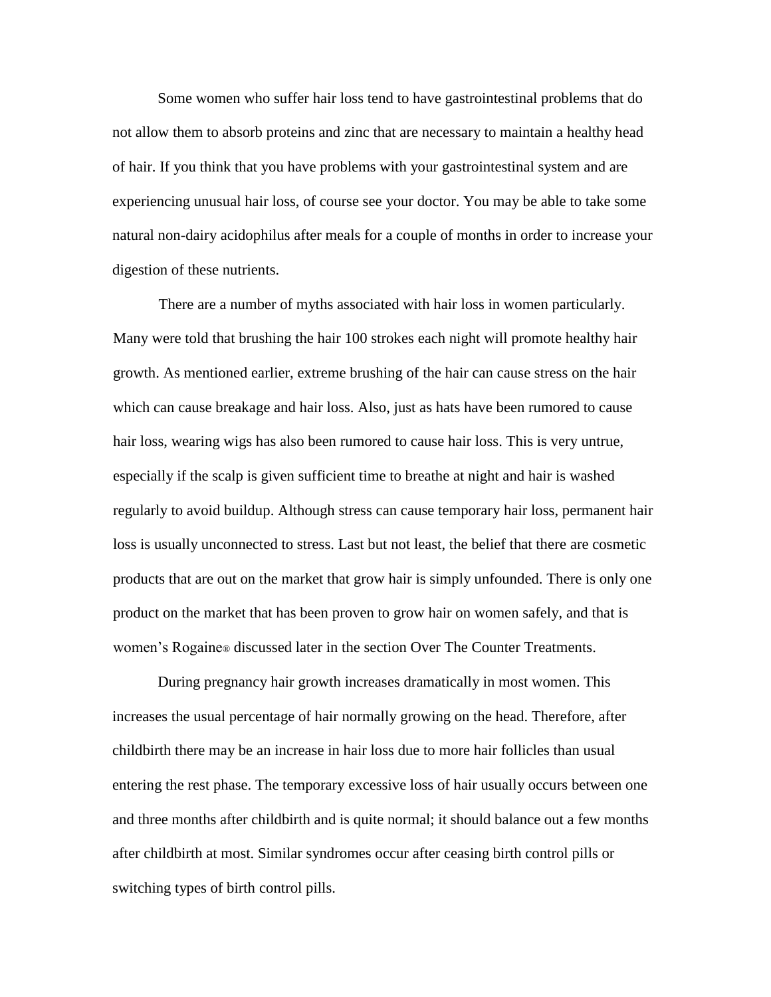Some women who suffer hair loss tend to have gastrointestinal problems that do not allow them to absorb proteins and zinc that are necessary to maintain a healthy head of hair. If you think that you have problems with your gastrointestinal system and are experiencing unusual hair loss, of course see your doctor. You may be able to take some natural non-dairy acidophilus after meals for a couple of months in order to increase your digestion of these nutrients.

There are a number of myths associated with hair loss in women particularly. Many were told that brushing the hair 100 strokes each night will promote healthy hair growth. As mentioned earlier, extreme brushing of the hair can cause stress on the hair which can cause breakage and hair loss. Also, just as hats have been rumored to cause hair loss, wearing wigs has also been rumored to cause hair loss. This is very untrue, especially if the scalp is given sufficient time to breathe at night and hair is washed regularly to avoid buildup. Although stress can cause temporary hair loss, permanent hair loss is usually unconnected to stress. Last but not least, the belief that there are cosmetic products that are out on the market that grow hair is simply unfounded. There is only one product on the market that has been proven to grow hair on women safely, and that is women's Rogaine® discussed later in the section Over The Counter Treatments.

During pregnancy hair growth increases dramatically in most women. This increases the usual percentage of hair normally growing on the head. Therefore, after childbirth there may be an increase in hair loss due to more hair follicles than usual entering the rest phase. The temporary excessive loss of hair usually occurs between one and three months after childbirth and is quite normal; it should balance out a few months after childbirth at most. Similar syndromes occur after ceasing birth control pills or switching types of birth control pills.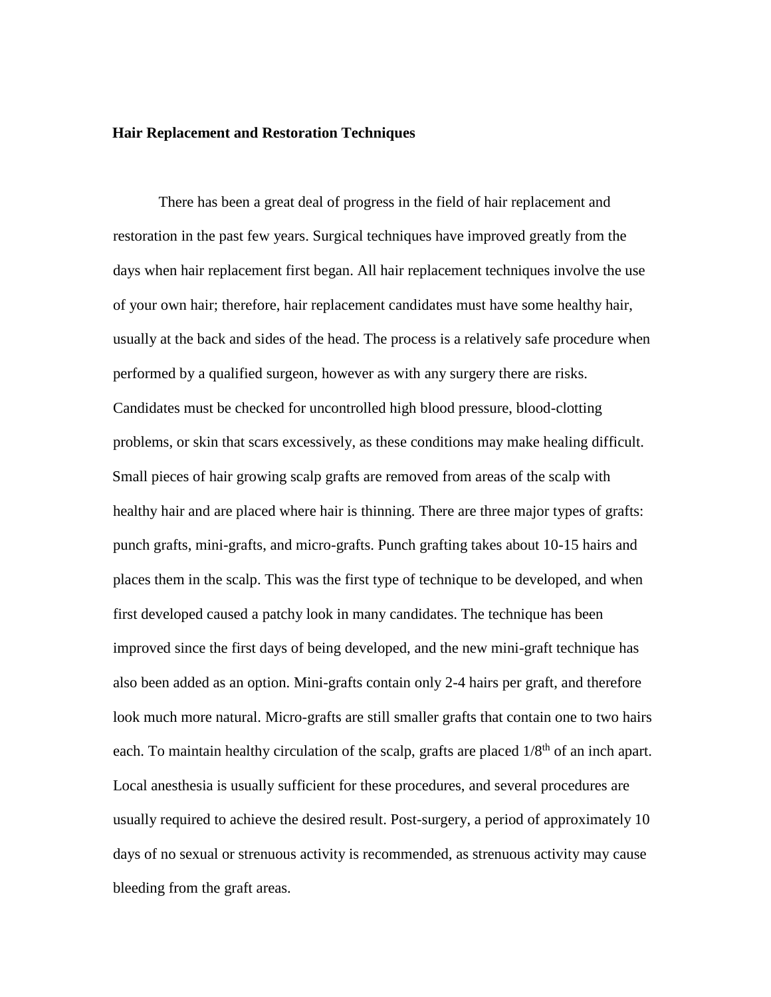#### **Hair Replacement and Restoration Techniques**

There has been a great deal of progress in the field of hair replacement and restoration in the past few years. Surgical techniques have improved greatly from the days when hair replacement first began. All hair replacement techniques involve the use of your own hair; therefore, hair replacement candidates must have some healthy hair, usually at the back and sides of the head. The process is a relatively safe procedure when performed by a qualified surgeon, however as with any surgery there are risks. Candidates must be checked for uncontrolled high blood pressure, blood-clotting problems, or skin that scars excessively, as these conditions may make healing difficult. Small pieces of hair growing scalp grafts are removed from areas of the scalp with healthy hair and are placed where hair is thinning. There are three major types of grafts: punch grafts, mini-grafts, and micro-grafts. Punch grafting takes about 10-15 hairs and places them in the scalp. This was the first type of technique to be developed, and when first developed caused a patchy look in many candidates. The technique has been improved since the first days of being developed, and the new mini-graft technique has also been added as an option. Mini-grafts contain only 2-4 hairs per graft, and therefore look much more natural. Micro-grafts are still smaller grafts that contain one to two hairs each. To maintain healthy circulation of the scalp, grafts are placed  $1/8<sup>th</sup>$  of an inch apart. Local anesthesia is usually sufficient for these procedures, and several procedures are usually required to achieve the desired result. Post-surgery, a period of approximately 10 days of no sexual or strenuous activity is recommended, as strenuous activity may cause bleeding from the graft areas.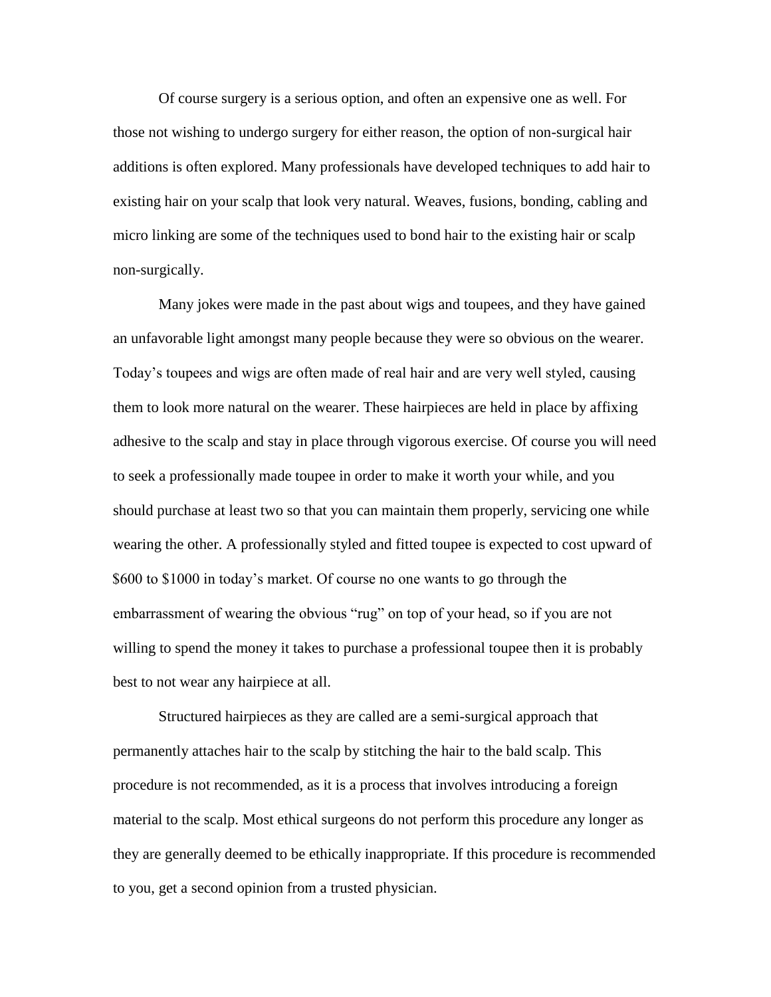Of course surgery is a serious option, and often an expensive one as well. For those not wishing to undergo surgery for either reason, the option of non-surgical hair additions is often explored. Many professionals have developed techniques to add hair to existing hair on your scalp that look very natural. Weaves, fusions, bonding, cabling and micro linking are some of the techniques used to bond hair to the existing hair or scalp non-surgically.

Many jokes were made in the past about wigs and toupees, and they have gained an unfavorable light amongst many people because they were so obvious on the wearer. Today's toupees and wigs are often made of real hair and are very well styled, causing them to look more natural on the wearer. These hairpieces are held in place by affixing adhesive to the scalp and stay in place through vigorous exercise. Of course you will need to seek a professionally made toupee in order to make it worth your while, and you should purchase at least two so that you can maintain them properly, servicing one while wearing the other. A professionally styled and fitted toupee is expected to cost upward of \$600 to \$1000 in today's market. Of course no one wants to go through the embarrassment of wearing the obvious "rug" on top of your head, so if you are not willing to spend the money it takes to purchase a professional toupee then it is probably best to not wear any hairpiece at all.

Structured hairpieces as they are called are a semi-surgical approach that permanently attaches hair to the scalp by stitching the hair to the bald scalp. This procedure is not recommended, as it is a process that involves introducing a foreign material to the scalp. Most ethical surgeons do not perform this procedure any longer as they are generally deemed to be ethically inappropriate. If this procedure is recommended to you, get a second opinion from a trusted physician.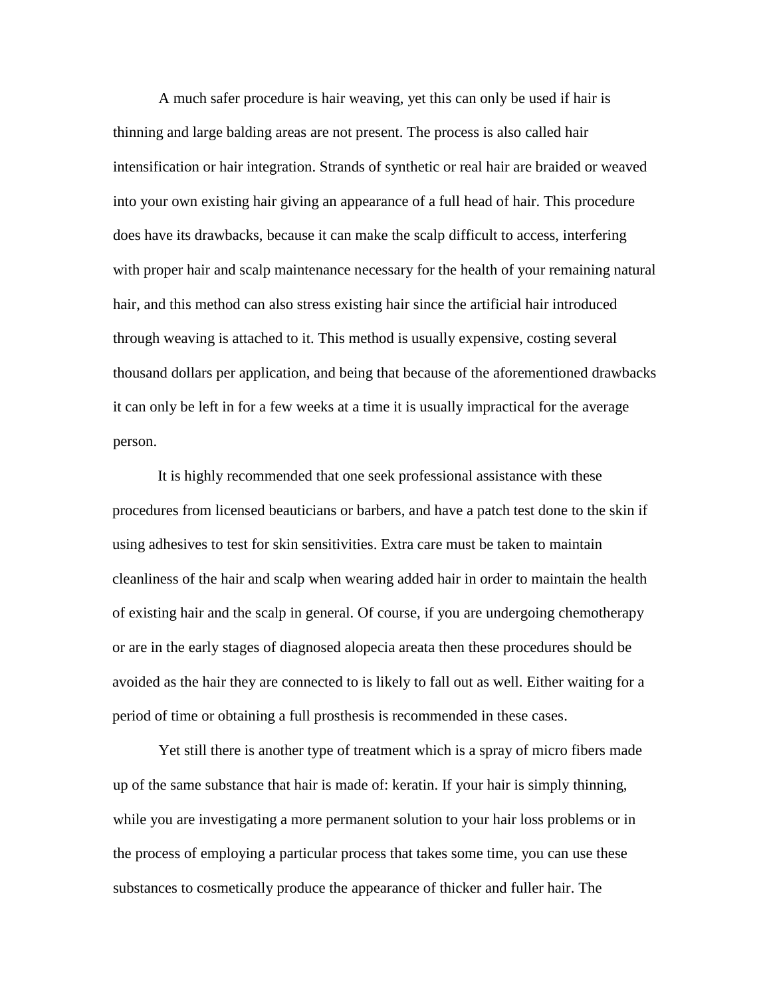A much safer procedure is hair weaving, yet this can only be used if hair is thinning and large balding areas are not present. The process is also called hair intensification or hair integration. Strands of synthetic or real hair are braided or weaved into your own existing hair giving an appearance of a full head of hair. This procedure does have its drawbacks, because it can make the scalp difficult to access, interfering with proper hair and scalp maintenance necessary for the health of your remaining natural hair, and this method can also stress existing hair since the artificial hair introduced through weaving is attached to it. This method is usually expensive, costing several thousand dollars per application, and being that because of the aforementioned drawbacks it can only be left in for a few weeks at a time it is usually impractical for the average person.

It is highly recommended that one seek professional assistance with these procedures from licensed beauticians or barbers, and have a patch test done to the skin if using adhesives to test for skin sensitivities. Extra care must be taken to maintain cleanliness of the hair and scalp when wearing added hair in order to maintain the health of existing hair and the scalp in general. Of course, if you are undergoing chemotherapy or are in the early stages of diagnosed alopecia areata then these procedures should be avoided as the hair they are connected to is likely to fall out as well. Either waiting for a period of time or obtaining a full prosthesis is recommended in these cases.

Yet still there is another type of treatment which is a spray of micro fibers made up of the same substance that hair is made of: keratin. If your hair is simply thinning, while you are investigating a more permanent solution to your hair loss problems or in the process of employing a particular process that takes some time, you can use these substances to cosmetically produce the appearance of thicker and fuller hair. The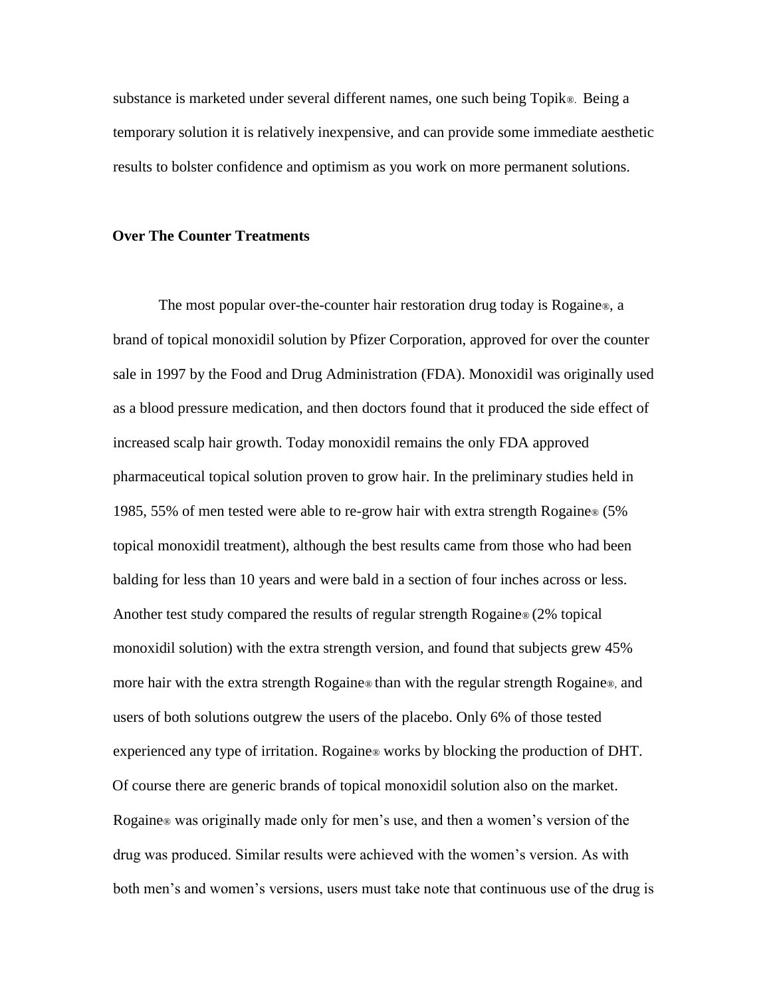substance is marketed under several different names, one such being Topik®. Being a temporary solution it is relatively inexpensive, and can provide some immediate aesthetic results to bolster confidence and optimism as you work on more permanent solutions.

#### **Over The Counter Treatments**

The most popular over-the-counter hair restoration drug today is Rogaine®, a brand of topical monoxidil solution by Pfizer Corporation, approved for over the counter sale in 1997 by the Food and Drug Administration (FDA). Monoxidil was originally used as a blood pressure medication, and then doctors found that it produced the side effect of increased scalp hair growth. Today monoxidil remains the only FDA approved pharmaceutical topical solution proven to grow hair. In the preliminary studies held in 1985, 55% of men tested were able to re-grow hair with extra strength Rogaine® (5% topical monoxidil treatment), although the best results came from those who had been balding for less than 10 years and were bald in a section of four inches across or less. Another test study compared the results of regular strength Rogaine® (2% topical monoxidil solution) with the extra strength version, and found that subjects grew 45% more hair with the extra strength Rogaine® than with the regular strength Rogaine®, and users of both solutions outgrew the users of the placebo. Only 6% of those tested experienced any type of irritation. Rogaine® works by blocking the production of DHT. Of course there are generic brands of topical monoxidil solution also on the market. Rogaine® was originally made only for men's use, and then a women's version of the drug was produced. Similar results were achieved with the women's version. As with both men's and women's versions, users must take note that continuous use of the drug is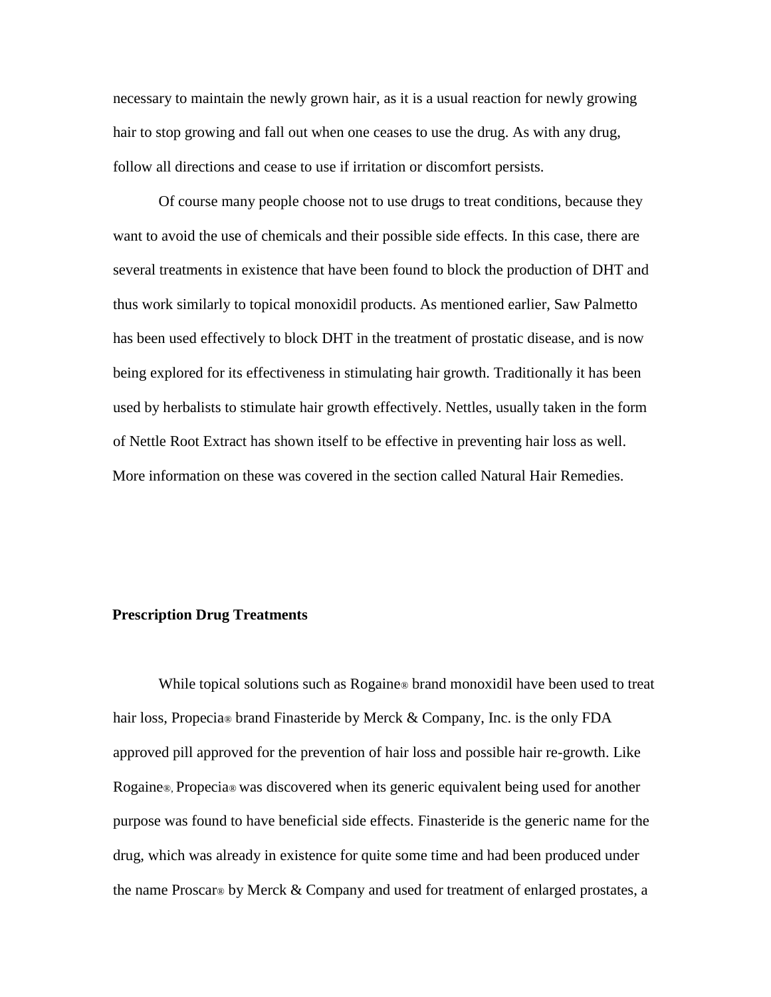necessary to maintain the newly grown hair, as it is a usual reaction for newly growing hair to stop growing and fall out when one ceases to use the drug. As with any drug, follow all directions and cease to use if irritation or discomfort persists.

Of course many people choose not to use drugs to treat conditions, because they want to avoid the use of chemicals and their possible side effects. In this case, there are several treatments in existence that have been found to block the production of DHT and thus work similarly to topical monoxidil products. As mentioned earlier, Saw Palmetto has been used effectively to block DHT in the treatment of prostatic disease, and is now being explored for its effectiveness in stimulating hair growth. Traditionally it has been used by herbalists to stimulate hair growth effectively. Nettles, usually taken in the form of Nettle Root Extract has shown itself to be effective in preventing hair loss as well. More information on these was covered in the section called Natural Hair Remedies.

## **Prescription Drug Treatments**

While topical solutions such as Rogaine® brand monoxidil have been used to treat hair loss, Propecia® brand Finasteride by Merck & Company, Inc. is the only FDA approved pill approved for the prevention of hair loss and possible hair re-growth. Like Rogaine®, Propecia® was discovered when its generic equivalent being used for another purpose was found to have beneficial side effects. Finasteride is the generic name for the drug, which was already in existence for quite some time and had been produced under the name Proscar® by Merck & Company and used for treatment of enlarged prostates, a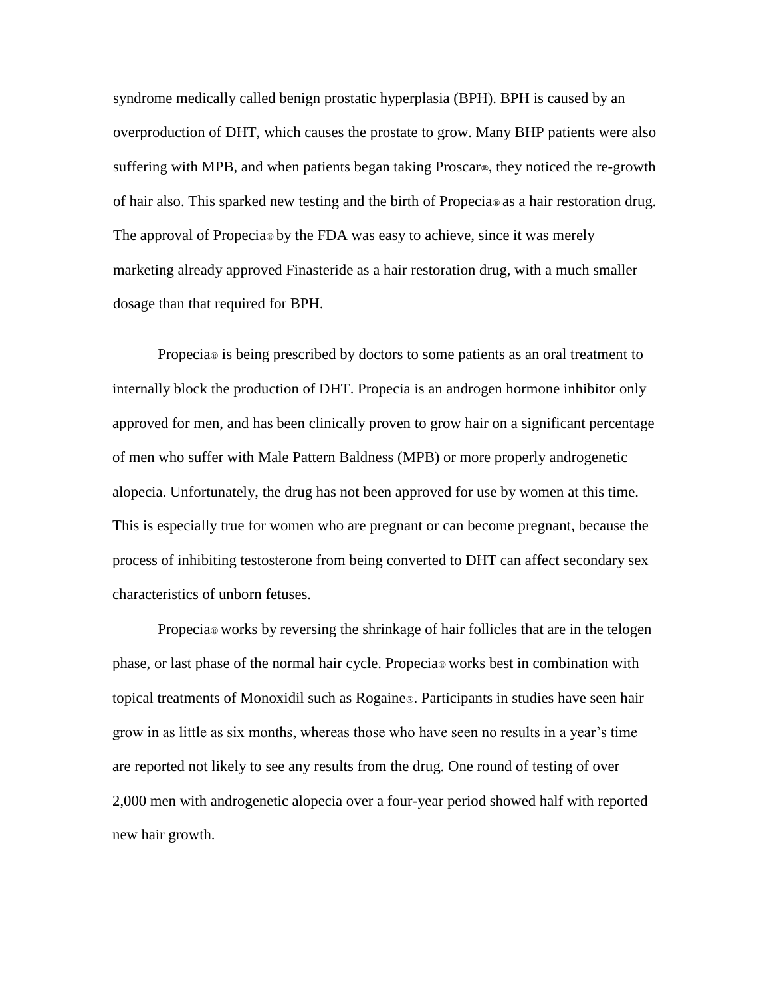syndrome medically called benign prostatic hyperplasia (BPH). BPH is caused by an overproduction of DHT, which causes the prostate to grow. Many BHP patients were also suffering with MPB, and when patients began taking Proscar®, they noticed the re-growth of hair also. This sparked new testing and the birth of Propecia® as a hair restoration drug. The approval of Propecia<sup>®</sup> by the FDA was easy to achieve, since it was merely marketing already approved Finasteride as a hair restoration drug, with a much smaller dosage than that required for BPH.

Propecia® is being prescribed by doctors to some patients as an oral treatment to internally block the production of DHT. Propecia is an androgen hormone inhibitor only approved for men, and has been clinically proven to grow hair on a significant percentage of men who suffer with Male Pattern Baldness (MPB) or more properly androgenetic alopecia. Unfortunately, the drug has not been approved for use by women at this time. This is especially true for women who are pregnant or can become pregnant, because the process of inhibiting testosterone from being converted to DHT can affect secondary sex characteristics of unborn fetuses.

Propecia® works by reversing the shrinkage of hair follicles that are in the telogen phase, or last phase of the normal hair cycle. Propecia® works best in combination with topical treatments of Monoxidil such as Rogaine®. Participants in studies have seen hair grow in as little as six months, whereas those who have seen no results in a year's time are reported not likely to see any results from the drug. One round of testing of over 2,000 men with androgenetic alopecia over a four-year period showed half with reported new hair growth.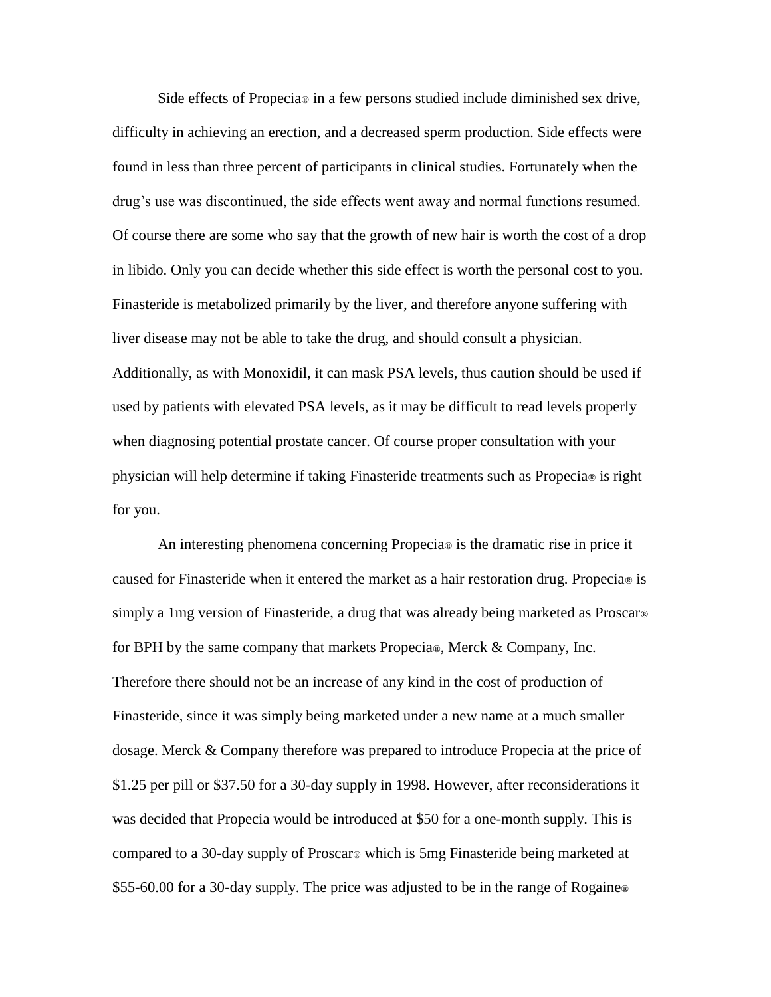Side effects of Propecia® in a few persons studied include diminished sex drive, difficulty in achieving an erection, and a decreased sperm production. Side effects were found in less than three percent of participants in clinical studies. Fortunately when the drug's use was discontinued, the side effects went away and normal functions resumed. Of course there are some who say that the growth of new hair is worth the cost of a drop in libido. Only you can decide whether this side effect is worth the personal cost to you. Finasteride is metabolized primarily by the liver, and therefore anyone suffering with liver disease may not be able to take the drug, and should consult a physician. Additionally, as with Monoxidil, it can mask PSA levels, thus caution should be used if used by patients with elevated PSA levels, as it may be difficult to read levels properly when diagnosing potential prostate cancer. Of course proper consultation with your physician will help determine if taking Finasteride treatments such as Propecia® is right for you.

An interesting phenomena concerning Propecia® is the dramatic rise in price it caused for Finasteride when it entered the market as a hair restoration drug. Propecia® is simply a 1mg version of Finasteride, a drug that was already being marketed as Proscar® for BPH by the same company that markets Propecia®, Merck & Company, Inc. Therefore there should not be an increase of any kind in the cost of production of Finasteride, since it was simply being marketed under a new name at a much smaller dosage. Merck & Company therefore was prepared to introduce Propecia at the price of \$1.25 per pill or \$37.50 for a 30-day supply in 1998. However, after reconsiderations it was decided that Propecia would be introduced at \$50 for a one-month supply. This is compared to a 30-day supply of Proscar® which is 5mg Finasteride being marketed at \$55-60.00 for a 30-day supply. The price was adjusted to be in the range of Rogaine<sup>®</sup>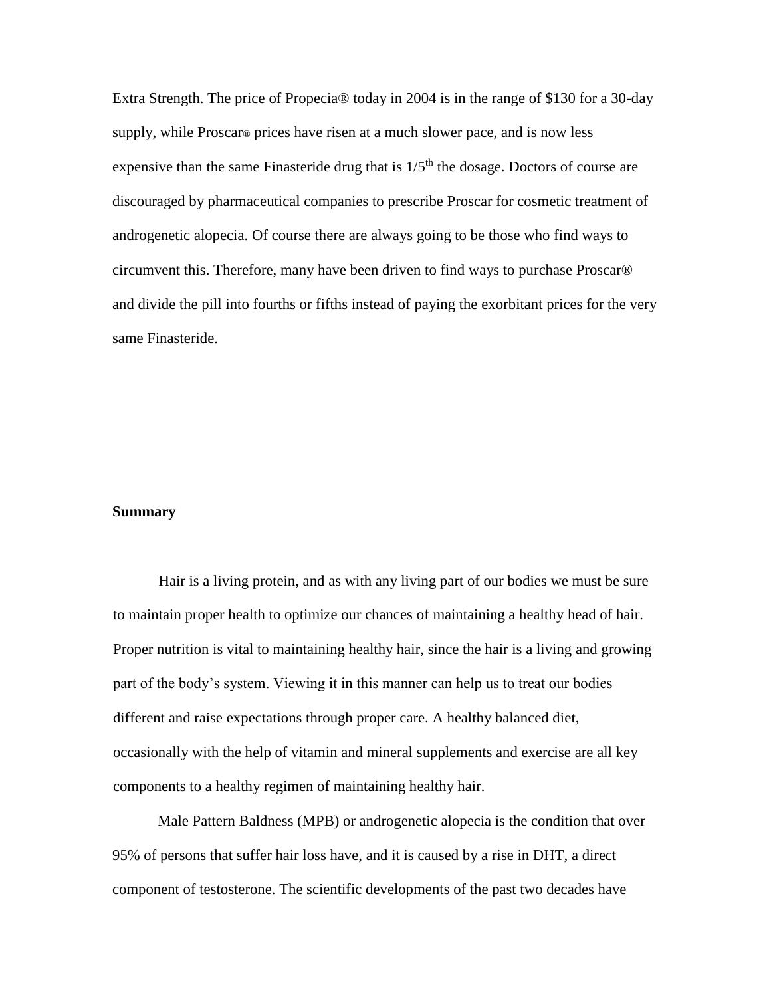Extra Strength. The price of Propecia® today in 2004 is in the range of \$130 for a 30-day supply, while Proscar® prices have risen at a much slower pace, and is now less expensive than the same Finasteride drug that is  $1/5<sup>th</sup>$  the dosage. Doctors of course are discouraged by pharmaceutical companies to prescribe Proscar for cosmetic treatment of androgenetic alopecia. Of course there are always going to be those who find ways to circumvent this. Therefore, many have been driven to find ways to purchase Proscar® and divide the pill into fourths or fifths instead of paying the exorbitant prices for the very same Finasteride.

#### **Summary**

Hair is a living protein, and as with any living part of our bodies we must be sure to maintain proper health to optimize our chances of maintaining a healthy head of hair. Proper nutrition is vital to maintaining healthy hair, since the hair is a living and growing part of the body's system. Viewing it in this manner can help us to treat our bodies different and raise expectations through proper care. A healthy balanced diet, occasionally with the help of vitamin and mineral supplements and exercise are all key components to a healthy regimen of maintaining healthy hair.

Male Pattern Baldness (MPB) or androgenetic alopecia is the condition that over 95% of persons that suffer hair loss have, and it is caused by a rise in DHT, a direct component of testosterone. The scientific developments of the past two decades have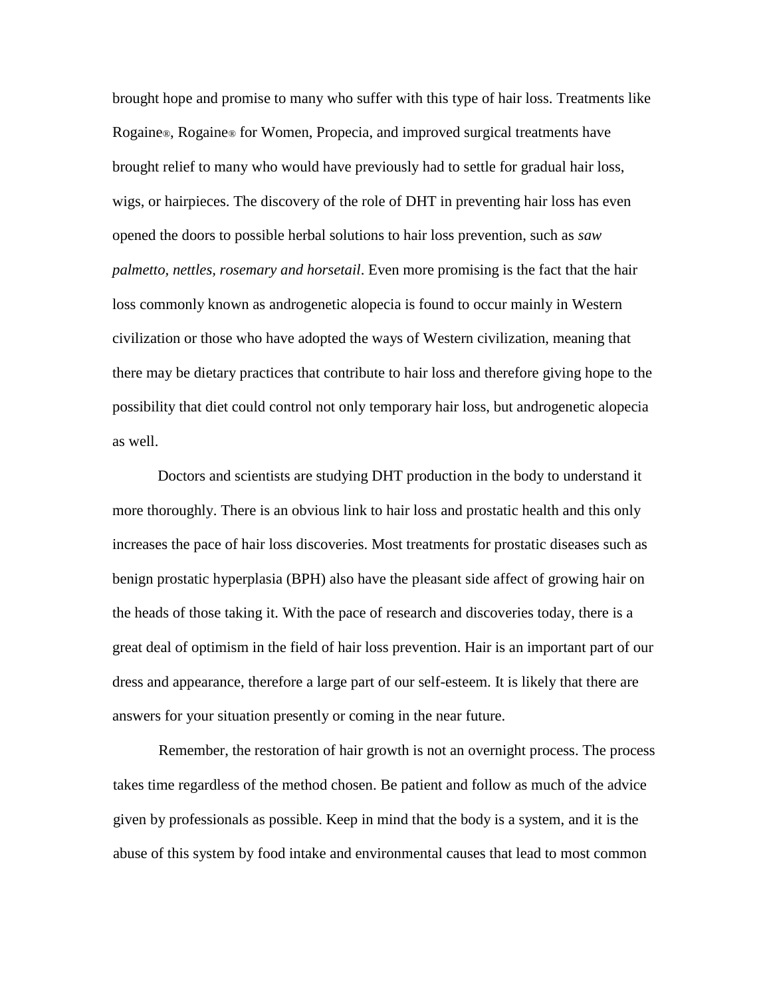brought hope and promise to many who suffer with this type of hair loss. Treatments like Rogaine®, Rogaine® for Women, Propecia, and improved surgical treatments have brought relief to many who would have previously had to settle for gradual hair loss, wigs, or hairpieces. The discovery of the role of DHT in preventing hair loss has even opened the doors to possible herbal solutions to hair loss prevention, such as *saw palmetto, nettles, rosemary and horsetail*. Even more promising is the fact that the hair loss commonly known as androgenetic alopecia is found to occur mainly in Western civilization or those who have adopted the ways of Western civilization, meaning that there may be dietary practices that contribute to hair loss and therefore giving hope to the possibility that diet could control not only temporary hair loss, but androgenetic alopecia as well.

Doctors and scientists are studying DHT production in the body to understand it more thoroughly. There is an obvious link to hair loss and prostatic health and this only increases the pace of hair loss discoveries. Most treatments for prostatic diseases such as benign prostatic hyperplasia (BPH) also have the pleasant side affect of growing hair on the heads of those taking it. With the pace of research and discoveries today, there is a great deal of optimism in the field of hair loss prevention. Hair is an important part of our dress and appearance, therefore a large part of our self-esteem. It is likely that there are answers for your situation presently or coming in the near future.

Remember, the restoration of hair growth is not an overnight process. The process takes time regardless of the method chosen. Be patient and follow as much of the advice given by professionals as possible. Keep in mind that the body is a system, and it is the abuse of this system by food intake and environmental causes that lead to most common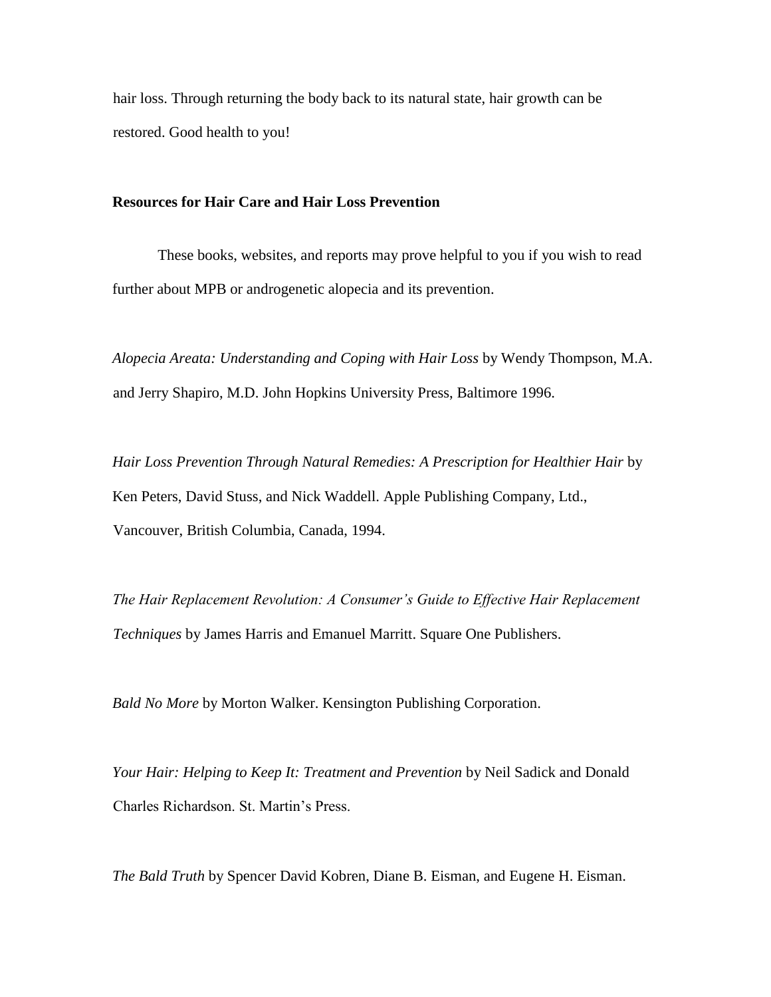hair loss. Through returning the body back to its natural state, hair growth can be restored. Good health to you!

## **Resources for Hair Care and Hair Loss Prevention**

These books, websites, and reports may prove helpful to you if you wish to read further about MPB or androgenetic alopecia and its prevention.

*Alopecia Areata: Understanding and Coping with Hair Loss* by Wendy Thompson, M.A. and Jerry Shapiro, M.D. John Hopkins University Press, Baltimore 1996.

*Hair Loss Prevention Through Natural Remedies: A Prescription for Healthier Hair* by Ken Peters, David Stuss, and Nick Waddell. Apple Publishing Company, Ltd., Vancouver, British Columbia, Canada, 1994.

*The Hair Replacement Revolution: A Consumer's Guide to Effective Hair Replacement Techniques* by James Harris and Emanuel Marritt. Square One Publishers.

*Bald No More* by Morton Walker. Kensington Publishing Corporation.

*Your Hair: Helping to Keep It: Treatment and Prevention* by Neil Sadick and Donald Charles Richardson. St. Martin's Press.

*The Bald Truth* by [Spencer David Kobren,](http://www.amazon.com/exec/obidos/search-handle-url/index=books&field-author=Kobren%2C%20Spencer%20David/002-9925936-9003256) [Diane B. Eisman,](http://www.amazon.com/exec/obidos/search-handle-url/index=books&field-author=Eisman%2C%20Diane%20B./002-9925936-9003256) and [Eugene H. Eisman.](http://www.amazon.com/exec/obidos/search-handle-url/index=books&field-author=Eisman%2C%20Eugene%20H./002-9925936-9003256)